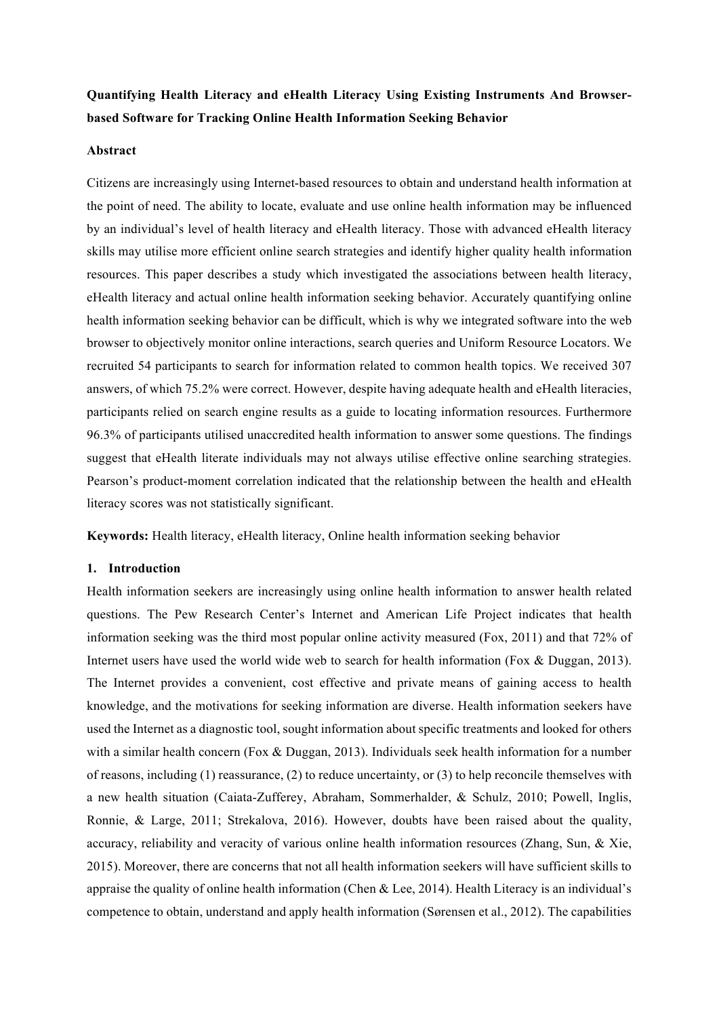# **Quantifying Health Literacy and eHealth Literacy Using Existing Instruments And Browserbased Software for Tracking Online Health Information Seeking Behavior**

### **Abstract**

Citizens are increasingly using Internet-based resources to obtain and understand health information at the point of need. The ability to locate, evaluate and use online health information may be influenced by an individual's level of health literacy and eHealth literacy. Those with advanced eHealth literacy skills may utilise more efficient online search strategies and identify higher quality health information resources. This paper describes a study which investigated the associations between health literacy, eHealth literacy and actual online health information seeking behavior. Accurately quantifying online health information seeking behavior can be difficult, which is why we integrated software into the web browser to objectively monitor online interactions, search queries and Uniform Resource Locators. We recruited 54 participants to search for information related to common health topics. We received 307 answers, of which 75.2% were correct. However, despite having adequate health and eHealth literacies, participants relied on search engine results as a guide to locating information resources. Furthermore 96.3% of participants utilised unaccredited health information to answer some questions. The findings suggest that eHealth literate individuals may not always utilise effective online searching strategies. Pearson's product-moment correlation indicated that the relationship between the health and eHealth literacy scores was not statistically significant.

**Keywords:** Health literacy, eHealth literacy, Online health information seeking behavior

### **1. Introduction**

Health information seekers are increasingly using online health information to answer health related questions. The Pew Research Center's Internet and American Life Project indicates that health information seeking was the third most popular online activity measured (Fox, 2011) and that 72% of Internet users have used the world wide web to search for health information (Fox & Duggan, 2013). The Internet provides a convenient, cost effective and private means of gaining access to health knowledge, and the motivations for seeking information are diverse. Health information seekers have used the Internet as a diagnostic tool, sought information about specific treatments and looked for others with a similar health concern (Fox & Duggan, 2013). Individuals seek health information for a number of reasons, including  $(1)$  reassurance,  $(2)$  to reduce uncertainty, or  $(3)$  to help reconcile themselves with a new health situation (Caiata-Zufferey, Abraham, Sommerhalder, & Schulz, 2010; Powell, Inglis, Ronnie, & Large, 2011; Strekalova, 2016). However, doubts have been raised about the quality, accuracy, reliability and veracity of various online health information resources (Zhang, Sun, & Xie, 2015). Moreover, there are concerns that not all health information seekers will have sufficient skills to appraise the quality of online health information (Chen & Lee, 2014). Health Literacy is an individual's competence to obtain, understand and apply health information (Sørensen et al., 2012). The capabilities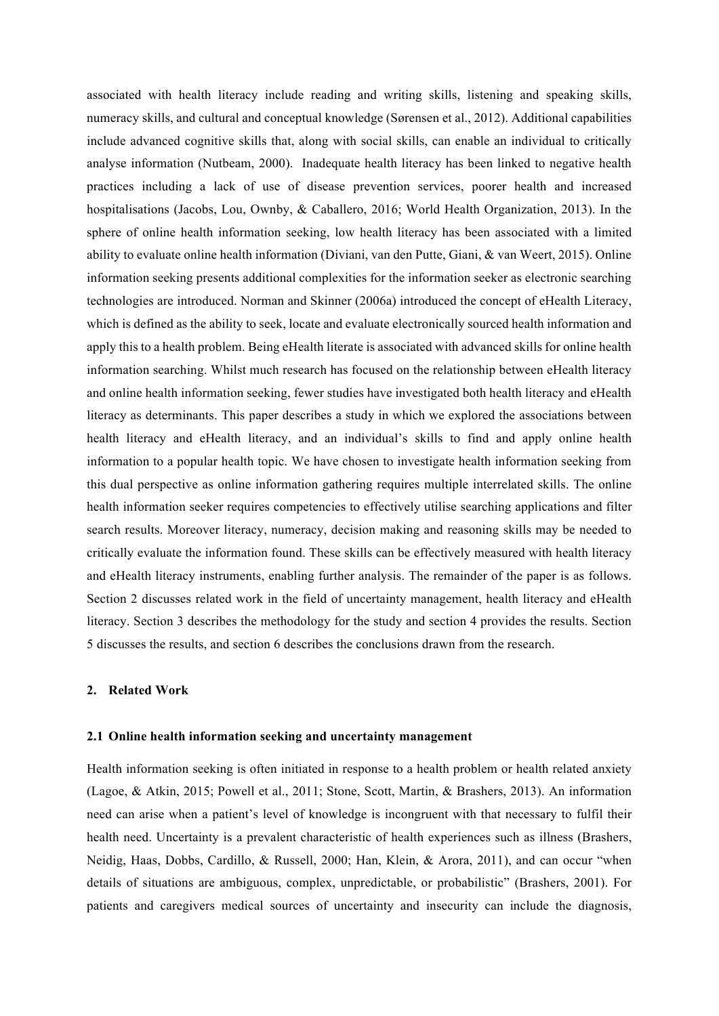associated with health literacy include reading and writing skills, listening and speaking skills, numeracy skills, and cultural and conceptual knowledge (Sørensen et al., 2012). Additional capabilities include advanced cognitive skills that, along with social skills, can enable an individual to critically analyse information (Nutbeam, 2000). Inadequate health literacy has been linked to negative health practices including a lack of use of disease prevention services, poorer health and increased hospitalisations (Jacobs, Lou, Ownby, & Caballero, 2016; World Health Organization, 2013). In the sphere of online health information seeking, low health literacy has been associated with a limited ability to evaluate online health information (Diviani, van den Putte, Giani, & van Weert, 2015). Online information seeking presents additional complexities for the information seeker as electronic searching technologies are introduced. Norman and Skinner (2006a) introduced the concept of eHealth Literacy, which is defined as the ability to seek, locate and evaluate electronically sourced health information and apply this to a health problem. Being eHealth literate is associated with advanced skills for online health information searching. Whilst much research has focused on the relationship between eHealth literacy and online health information seeking, fewer studies have investigated both health literacy and eHealth literacy as determinants. This paper describes a study in which we explored the associations between health literacy and eHealth literacy, and an individual's skills to find and apply online health information to a popular health topic. We have chosen to investigate health information seeking from this dual perspective as online information gathering requires multiple interrelated skills. The online health information seeker requires competencies to effectively utilise searching applications and filter search results. Moreover literacy, numeracy, decision making and reasoning skills may be needed to critically evaluate the information found. These skills can be effectively measured with health literacy and eHealth literacy instruments, enabling further analysis. The remainder of the paper is as follows. Section 2 discusses related work in the field of uncertainty management, health literacy and eHealth literacy. Section 3 describes the methodology for the study and section 4 provides the results. Section 5 discusses the results, and section 6 describes the conclusions drawn from the research.

#### **2. Related Work**

# **2.1 Online health information seeking and uncertainty management**

Health information seeking is often initiated in response to a health problem or health related anxiety (Lagoe, & Atkin, 2015; Powell et al., 2011; Stone, Scott, Martin, & Brashers, 2013). An information need can arise when a patient's level of knowledge is incongruent with that necessary to fulfil their health need. Uncertainty is a prevalent characteristic of health experiences such as illness (Brashers, Neidig, Haas, Dobbs, Cardillo, & Russell, 2000; Han, Klein, & Arora, 2011), and can occur "when details of situations are ambiguous, complex, unpredictable, or probabilistic" (Brashers, 2001). For patients and caregivers medical sources of uncertainty and insecurity can include the diagnosis,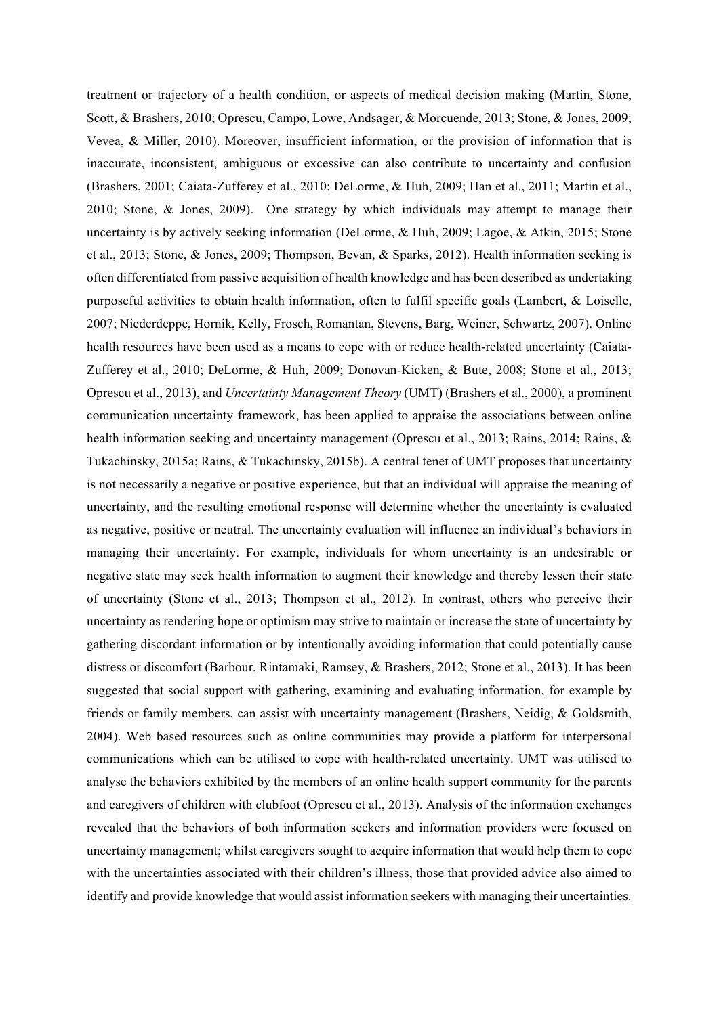treatment or trajectory of a health condition, or aspects of medical decision making (Martin, Stone, Scott, & Brashers, 2010; Oprescu, Campo, Lowe, Andsager, & Morcuende, 2013; Stone, & Jones, 2009; Vevea, & Miller, 2010). Moreover, insufficient information, or the provision of information that is inaccurate, inconsistent, ambiguous or excessive can also contribute to uncertainty and confusion (Brashers, 2001; Caiata-Zufferey et al., 2010; DeLorme, & Huh, 2009; Han et al., 2011; Martin et al., 2010; Stone, & Jones, 2009). One strategy by which individuals may attempt to manage their uncertainty is by actively seeking information (DeLorme, & Huh, 2009; Lagoe, & Atkin, 2015; Stone et al., 2013; Stone, & Jones, 2009; Thompson, Bevan, & Sparks, 2012). Health information seeking is often differentiated from passive acquisition of health knowledge and has been described as undertaking purposeful activities to obtain health information, often to fulfil specific goals (Lambert, & Loiselle, 2007; Niederdeppe, Hornik, Kelly, Frosch, Romantan, Stevens, Barg, Weiner, Schwartz, 2007). Online health resources have been used as a means to cope with or reduce health-related uncertainty (Caiata-Zufferey et al., 2010; DeLorme, & Huh, 2009; Donovan-Kicken, & Bute, 2008; Stone et al., 2013; Oprescu et al., 2013), and *Uncertainty Management Theory* (UMT) (Brashers et al., 2000), a prominent communication uncertainty framework, has been applied to appraise the associations between online health information seeking and uncertainty management (Oprescu et al., 2013; Rains, 2014; Rains, & Tukachinsky, 2015a; Rains, & Tukachinsky, 2015b). A central tenet of UMT proposes that uncertainty is not necessarily a negative or positive experience, but that an individual will appraise the meaning of uncertainty, and the resulting emotional response will determine whether the uncertainty is evaluated as negative, positive or neutral. The uncertainty evaluation will influence an individual's behaviors in managing their uncertainty. For example, individuals for whom uncertainty is an undesirable or negative state may seek health information to augment their knowledge and thereby lessen their state of uncertainty (Stone et al., 2013; Thompson et al., 2012). In contrast, others who perceive their uncertainty as rendering hope or optimism may strive to maintain or increase the state of uncertainty by gathering discordant information or by intentionally avoiding information that could potentially cause distress or discomfort (Barbour, Rintamaki, Ramsey, & Brashers, 2012; Stone et al., 2013). It has been suggested that social support with gathering, examining and evaluating information, for example by friends or family members, can assist with uncertainty management (Brashers, Neidig, & Goldsmith, 2004). Web based resources such as online communities may provide a platform for interpersonal communications which can be utilised to cope with health-related uncertainty. UMT was utilised to analyse the behaviors exhibited by the members of an online health support community for the parents and caregivers of children with clubfoot (Oprescu et al., 2013). Analysis of the information exchanges revealed that the behaviors of both information seekers and information providers were focused on uncertainty management; whilst caregivers sought to acquire information that would help them to cope with the uncertainties associated with their children's illness, those that provided advice also aimed to identify and provide knowledge that would assist information seekers with managing their uncertainties.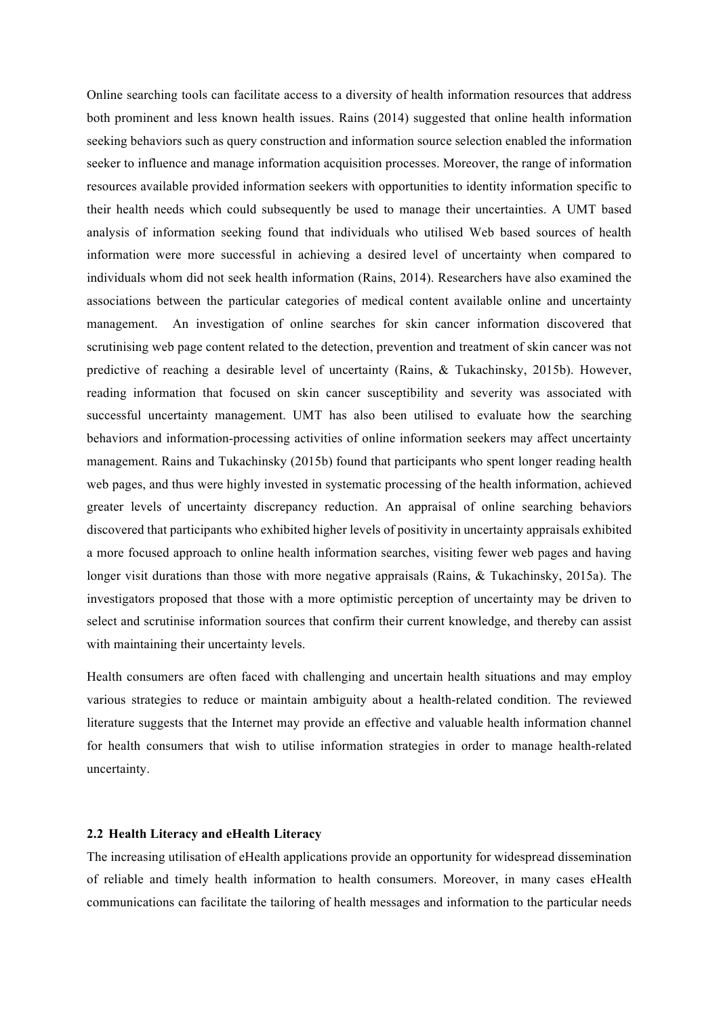Online searching tools can facilitate access to a diversity of health information resources that address both prominent and less known health issues. Rains (2014) suggested that online health information seeking behaviors such as query construction and information source selection enabled the information seeker to influence and manage information acquisition processes. Moreover, the range of information resources available provided information seekers with opportunities to identity information specific to their health needs which could subsequently be used to manage their uncertainties. A UMT based analysis of information seeking found that individuals who utilised Web based sources of health information were more successful in achieving a desired level of uncertainty when compared to individuals whom did not seek health information (Rains, 2014). Researchers have also examined the associations between the particular categories of medical content available online and uncertainty management. An investigation of online searches for skin cancer information discovered that scrutinising web page content related to the detection, prevention and treatment of skin cancer was not predictive of reaching a desirable level of uncertainty (Rains, & Tukachinsky, 2015b). However, reading information that focused on skin cancer susceptibility and severity was associated with successful uncertainty management. UMT has also been utilised to evaluate how the searching behaviors and information-processing activities of online information seekers may affect uncertainty management. Rains and Tukachinsky (2015b) found that participants who spent longer reading health web pages, and thus were highly invested in systematic processing of the health information, achieved greater levels of uncertainty discrepancy reduction. An appraisal of online searching behaviors discovered that participants who exhibited higher levels of positivity in uncertainty appraisals exhibited a more focused approach to online health information searches, visiting fewer web pages and having longer visit durations than those with more negative appraisals (Rains, & Tukachinsky, 2015a). The investigators proposed that those with a more optimistic perception of uncertainty may be driven to select and scrutinise information sources that confirm their current knowledge, and thereby can assist with maintaining their uncertainty levels.

Health consumers are often faced with challenging and uncertain health situations and may employ various strategies to reduce or maintain ambiguity about a health-related condition. The reviewed literature suggests that the Internet may provide an effective and valuable health information channel for health consumers that wish to utilise information strategies in order to manage health-related uncertainty.

# **2.2 Health Literacy and eHealth Literacy**

The increasing utilisation of eHealth applications provide an opportunity for widespread dissemination of reliable and timely health information to health consumers. Moreover, in many cases eHealth communications can facilitate the tailoring of health messages and information to the particular needs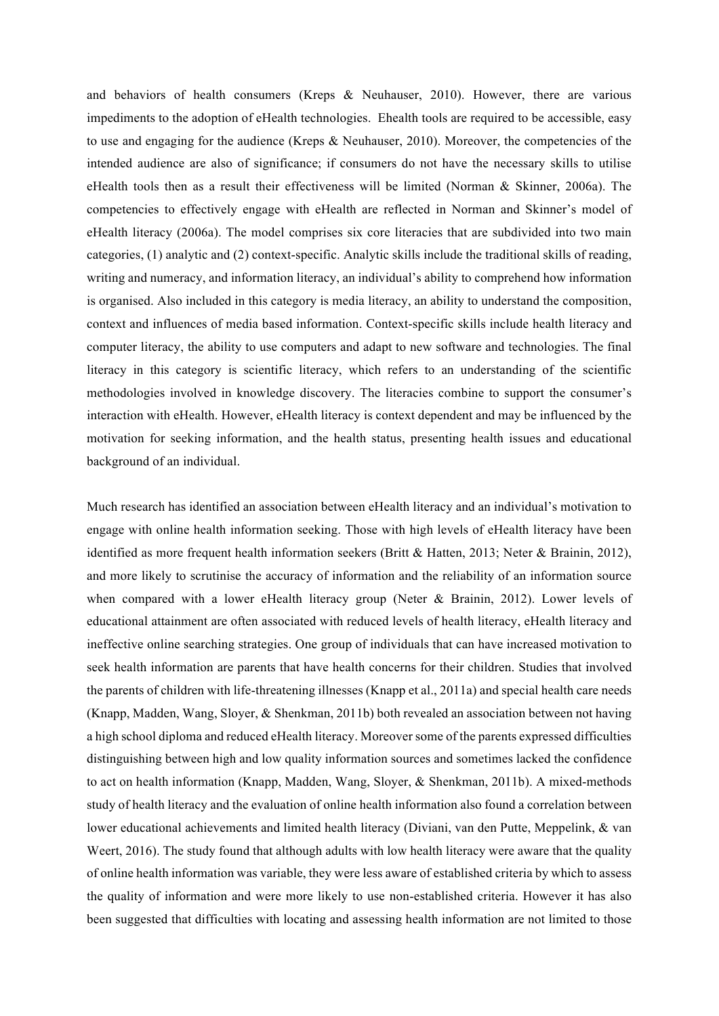and behaviors of health consumers (Kreps & Neuhauser, 2010). However, there are various impediments to the adoption of eHealth technologies. Ehealth tools are required to be accessible, easy to use and engaging for the audience (Kreps & Neuhauser, 2010). Moreover, the competencies of the intended audience are also of significance; if consumers do not have the necessary skills to utilise eHealth tools then as a result their effectiveness will be limited (Norman & Skinner, 2006a). The competencies to effectively engage with eHealth are reflected in Norman and Skinner's model of eHealth literacy (2006a). The model comprises six core literacies that are subdivided into two main categories, (1) analytic and (2) context-specific. Analytic skills include the traditional skills of reading, writing and numeracy, and information literacy, an individual's ability to comprehend how information is organised. Also included in this category is media literacy, an ability to understand the composition, context and influences of media based information. Context-specific skills include health literacy and computer literacy, the ability to use computers and adapt to new software and technologies. The final literacy in this category is scientific literacy, which refers to an understanding of the scientific methodologies involved in knowledge discovery. The literacies combine to support the consumer's interaction with eHealth. However, eHealth literacy is context dependent and may be influenced by the motivation for seeking information, and the health status, presenting health issues and educational background of an individual.

Much research has identified an association between eHealth literacy and an individual's motivation to engage with online health information seeking. Those with high levels of eHealth literacy have been identified as more frequent health information seekers (Britt & Hatten, 2013; Neter & Brainin, 2012), and more likely to scrutinise the accuracy of information and the reliability of an information source when compared with a lower eHealth literacy group (Neter  $\&$  Brainin, 2012). Lower levels of educational attainment are often associated with reduced levels of health literacy, eHealth literacy and ineffective online searching strategies. One group of individuals that can have increased motivation to seek health information are parents that have health concerns for their children. Studies that involved the parents of children with life-threatening illnesses (Knapp et al., 2011a) and special health care needs (Knapp, Madden, Wang, Sloyer, & Shenkman, 2011b) both revealed an association between not having a high school diploma and reduced eHealth literacy. Moreover some of the parents expressed difficulties distinguishing between high and low quality information sources and sometimes lacked the confidence to act on health information (Knapp, Madden, Wang, Sloyer, & Shenkman, 2011b). A mixed-methods study of health literacy and the evaluation of online health information also found a correlation between lower educational achievements and limited health literacy (Diviani, van den Putte, Meppelink, & van Weert, 2016). The study found that although adults with low health literacy were aware that the quality of online health information was variable, they were less aware of established criteria by which to assess the quality of information and were more likely to use non-established criteria. However it has also been suggested that difficulties with locating and assessing health information are not limited to those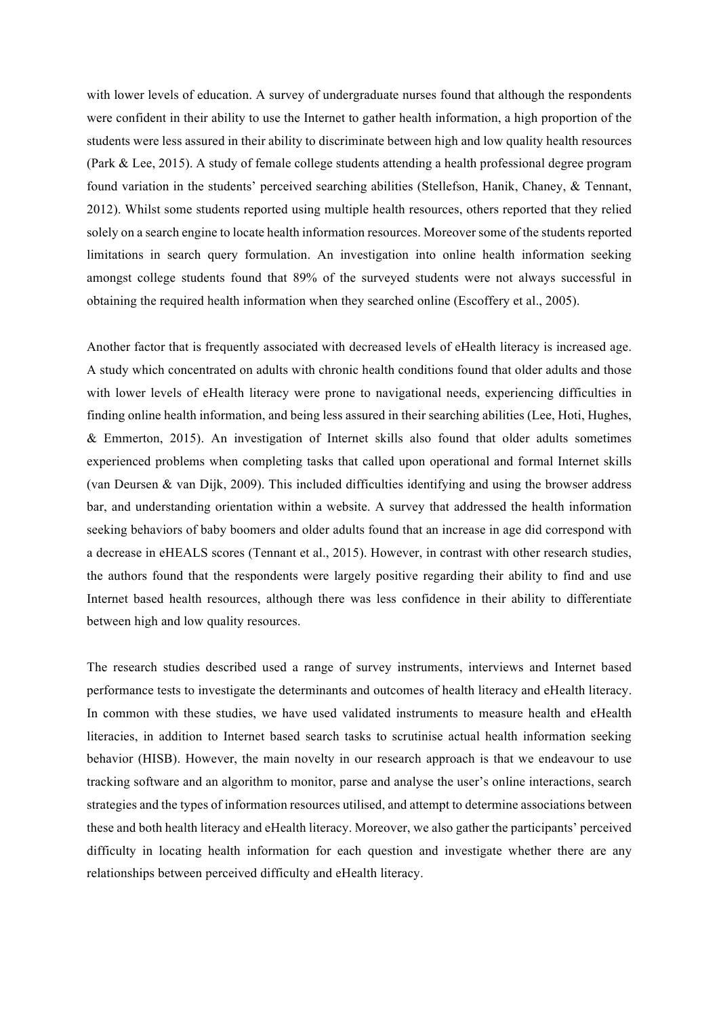with lower levels of education. A survey of undergraduate nurses found that although the respondents were confident in their ability to use the Internet to gather health information, a high proportion of the students were less assured in their ability to discriminate between high and low quality health resources (Park & Lee, 2015). A study of female college students attending a health professional degree program found variation in the students' perceived searching abilities (Stellefson, Hanik, Chaney, & Tennant, 2012). Whilst some students reported using multiple health resources, others reported that they relied solely on a search engine to locate health information resources. Moreover some of the students reported limitations in search query formulation. An investigation into online health information seeking amongst college students found that 89% of the surveyed students were not always successful in obtaining the required health information when they searched online (Escoffery et al., 2005).

Another factor that is frequently associated with decreased levels of eHealth literacy is increased age. A study which concentrated on adults with chronic health conditions found that older adults and those with lower levels of eHealth literacy were prone to navigational needs, experiencing difficulties in finding online health information, and being less assured in their searching abilities (Lee, Hoti, Hughes, & Emmerton, 2015). An investigation of Internet skills also found that older adults sometimes experienced problems when completing tasks that called upon operational and formal Internet skills (van Deursen & van Dijk, 2009). This included difficulties identifying and using the browser address bar, and understanding orientation within a website. A survey that addressed the health information seeking behaviors of baby boomers and older adults found that an increase in age did correspond with a decrease in eHEALS scores (Tennant et al., 2015). However, in contrast with other research studies, the authors found that the respondents were largely positive regarding their ability to find and use Internet based health resources, although there was less confidence in their ability to differentiate between high and low quality resources.

The research studies described used a range of survey instruments, interviews and Internet based performance tests to investigate the determinants and outcomes of health literacy and eHealth literacy. In common with these studies, we have used validated instruments to measure health and eHealth literacies, in addition to Internet based search tasks to scrutinise actual health information seeking behavior (HISB). However, the main novelty in our research approach is that we endeavour to use tracking software and an algorithm to monitor, parse and analyse the user's online interactions, search strategies and the types of information resources utilised, and attempt to determine associations between these and both health literacy and eHealth literacy. Moreover, we also gather the participants' perceived difficulty in locating health information for each question and investigate whether there are any relationships between perceived difficulty and eHealth literacy.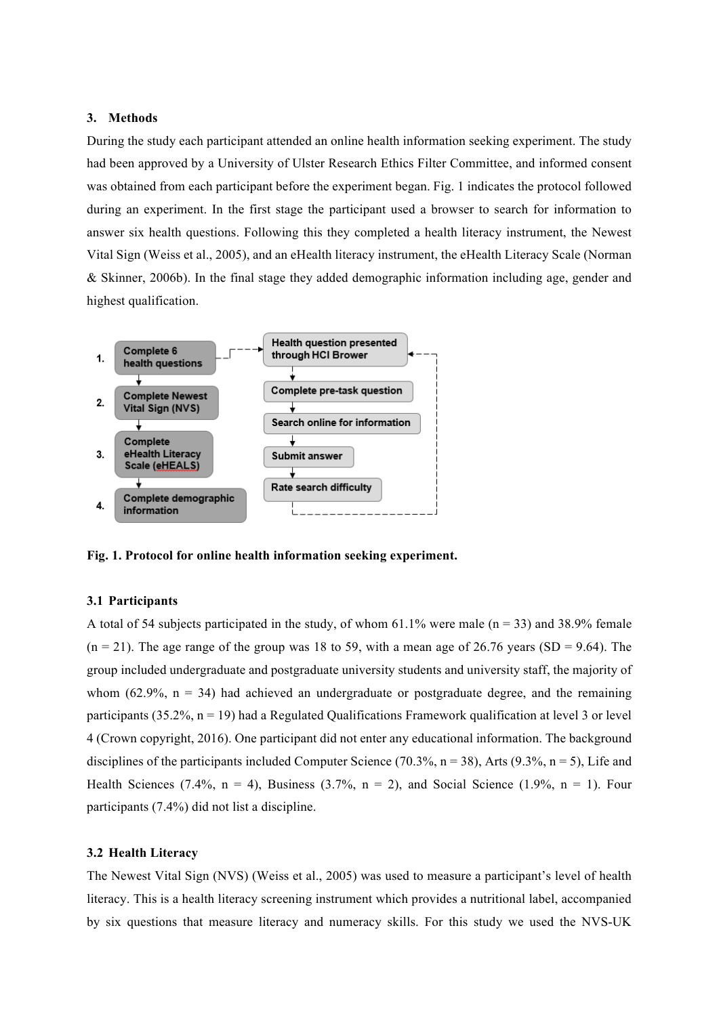### **3. Methods**

During the study each participant attended an online health information seeking experiment. The study had been approved by a University of Ulster Research Ethics Filter Committee, and informed consent was obtained from each participant before the experiment began. Fig. 1 indicates the protocol followed during an experiment. In the first stage the participant used a browser to search for information to answer six health questions. Following this they completed a health literacy instrument, the Newest Vital Sign (Weiss et al., 2005), and an eHealth literacy instrument, the eHealth Literacy Scale (Norman & Skinner, 2006b). In the final stage they added demographic information including age, gender and highest qualification.



**Fig. 1. Protocol for online health information seeking experiment.**

# **3.1 Participants**

A total of 54 subjects participated in the study, of whom 61.1% were male  $(n = 33)$  and 38.9% female  $(n = 21)$ . The age range of the group was 18 to 59, with a mean age of 26.76 years (SD = 9.64). The group included undergraduate and postgraduate university students and university staff, the majority of whom (62.9%,  $n = 34$ ) had achieved an undergraduate or postgraduate degree, and the remaining participants (35.2%,  $n = 19$ ) had a Regulated Qualifications Framework qualification at level 3 or level 4 (Crown copyright, 2016). One participant did not enter any educational information. The background disciplines of the participants included Computer Science (70.3%,  $n = 38$ ), Arts (9.3%,  $n = 5$ ), Life and Health Sciences (7.4%,  $n = 4$ ), Business (3.7%,  $n = 2$ ), and Social Science (1.9%,  $n = 1$ ). Four participants (7.4%) did not list a discipline.

### **3.2 Health Literacy**

The Newest Vital Sign (NVS) (Weiss et al., 2005) was used to measure a participant's level of health literacy. This is a health literacy screening instrument which provides a nutritional label, accompanied by six questions that measure literacy and numeracy skills. For this study we used the NVS-UK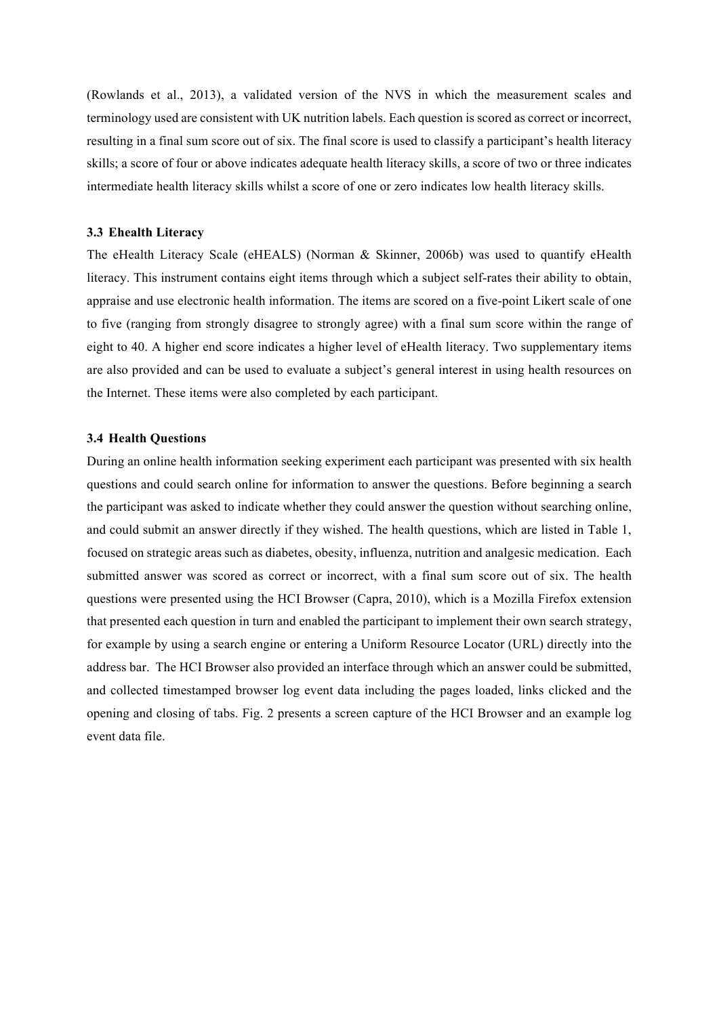(Rowlands et al., 2013), a validated version of the NVS in which the measurement scales and terminology used are consistent with UK nutrition labels. Each question is scored as correct or incorrect, resulting in a final sum score out of six. The final score is used to classify a participant's health literacy skills; a score of four or above indicates adequate health literacy skills, a score of two or three indicates intermediate health literacy skills whilst a score of one or zero indicates low health literacy skills.

# **3.3 Ehealth Literacy**

The eHealth Literacy Scale (eHEALS) (Norman & Skinner, 2006b) was used to quantify eHealth literacy. This instrument contains eight items through which a subject self-rates their ability to obtain, appraise and use electronic health information. The items are scored on a five-point Likert scale of one to five (ranging from strongly disagree to strongly agree) with a final sum score within the range of eight to 40. A higher end score indicates a higher level of eHealth literacy. Two supplementary items are also provided and can be used to evaluate a subject's general interest in using health resources on the Internet. These items were also completed by each participant.

### **3.4 Health Questions**

During an online health information seeking experiment each participant was presented with six health questions and could search online for information to answer the questions. Before beginning a search the participant was asked to indicate whether they could answer the question without searching online, and could submit an answer directly if they wished. The health questions, which are listed in Table 1, focused on strategic areas such as diabetes, obesity, influenza, nutrition and analgesic medication. Each submitted answer was scored as correct or incorrect, with a final sum score out of six. The health questions were presented using the HCI Browser (Capra, 2010), which is a Mozilla Firefox extension that presented each question in turn and enabled the participant to implement their own search strategy, for example by using a search engine or entering a Uniform Resource Locator (URL) directly into the address bar. The HCI Browser also provided an interface through which an answer could be submitted, and collected timestamped browser log event data including the pages loaded, links clicked and the opening and closing of tabs. Fig. 2 presents a screen capture of the HCI Browser and an example log event data file.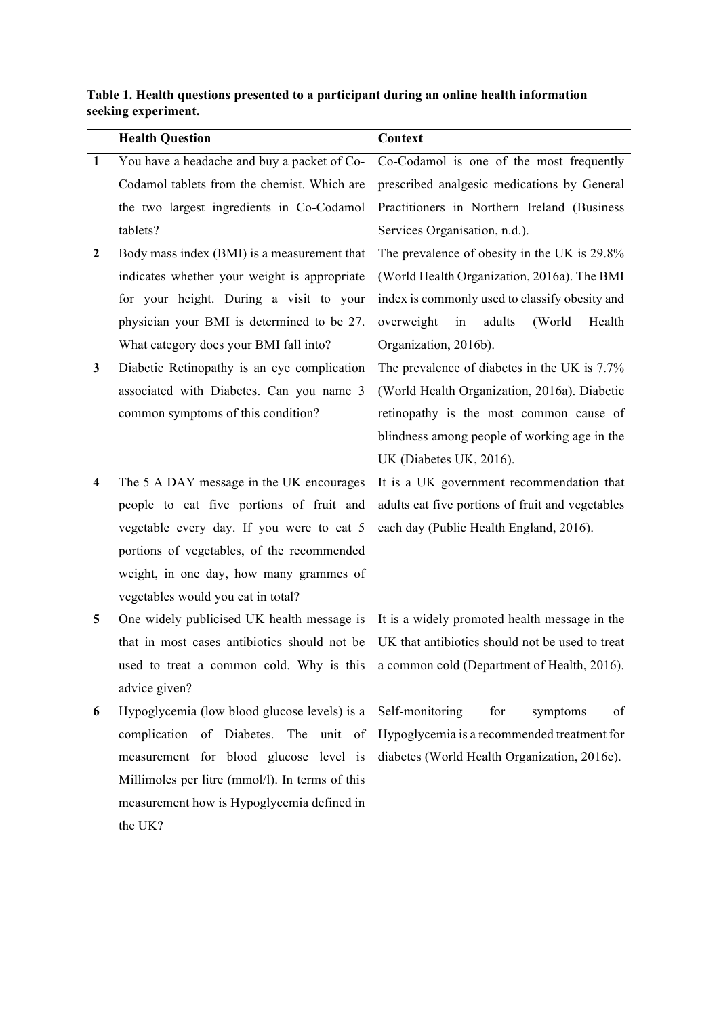# **Table 1. Health questions presented to a participant during an online health information seeking experiment.**

|                  | <b>Health Question</b>                          | Context                                                                              |
|------------------|-------------------------------------------------|--------------------------------------------------------------------------------------|
| <sup>1</sup>     | You have a headache and buy a packet of Co-     | Co-Codamol is one of the most frequently                                             |
|                  | Codamol tablets from the chemist. Which are     | prescribed analgesic medications by General                                          |
|                  | the two largest ingredients in Co-Codamol       | Practitioners in Northern Ireland (Business                                          |
|                  | tablets?                                        | Services Organisation, n.d.).                                                        |
| $\boldsymbol{2}$ | Body mass index (BMI) is a measurement that     | The prevalence of obesity in the UK is 29.8%                                         |
|                  | indicates whether your weight is appropriate    | (World Health Organization, 2016a). The BMI                                          |
|                  | for your height. During a visit to your         | index is commonly used to classify obesity and                                       |
|                  | physician your BMI is determined to be 27.      | overweight<br>in<br>adults<br>(World<br>Health                                       |
|                  | What category does your BMI fall into?          | Organization, 2016b).                                                                |
| $\mathbf{3}$     | Diabetic Retinopathy is an eye complication     | The prevalence of diabetes in the UK is 7.7%                                         |
|                  | associated with Diabetes. Can you name 3        | (World Health Organization, 2016a). Diabetic                                         |
|                  | common symptoms of this condition?              | retinopathy is the most common cause of                                              |
|                  |                                                 | blindness among people of working age in the                                         |
|                  |                                                 | UK (Diabetes UK, 2016).                                                              |
| 4                | The 5 A DAY message in the UK encourages        | It is a UK government recommendation that                                            |
|                  | people to eat five portions of fruit and        | adults eat five portions of fruit and vegetables                                     |
|                  | vegetable every day. If you were to eat 5       | each day (Public Health England, 2016).                                              |
|                  | portions of vegetables, of the recommended      |                                                                                      |
|                  | weight, in one day, how many grammes of         |                                                                                      |
|                  | vegetables would you eat in total?              |                                                                                      |
| 5                | One widely publicised UK health message is      | It is a widely promoted health message in the                                        |
|                  | that in most cases antibiotics should not be    | UK that antibiotics should not be used to treat                                      |
|                  |                                                 | used to treat a common cold. Why is this a common cold (Department of Health, 2016). |
|                  | advice given?                                   |                                                                                      |
| 6                | Hypoglycemia (low blood glucose levels) is a    | Self-monitoring<br>for<br>of<br>symptoms                                             |
|                  | complication of Diabetes.<br>The unit of        | Hypoglycemia is a recommended treatment for                                          |
|                  | measurement for blood glucose level is          | diabetes (World Health Organization, 2016c).                                         |
|                  | Millimoles per litre (mmol/l). In terms of this |                                                                                      |
|                  | measurement how is Hypoglycemia defined in      |                                                                                      |
|                  | the UK?                                         |                                                                                      |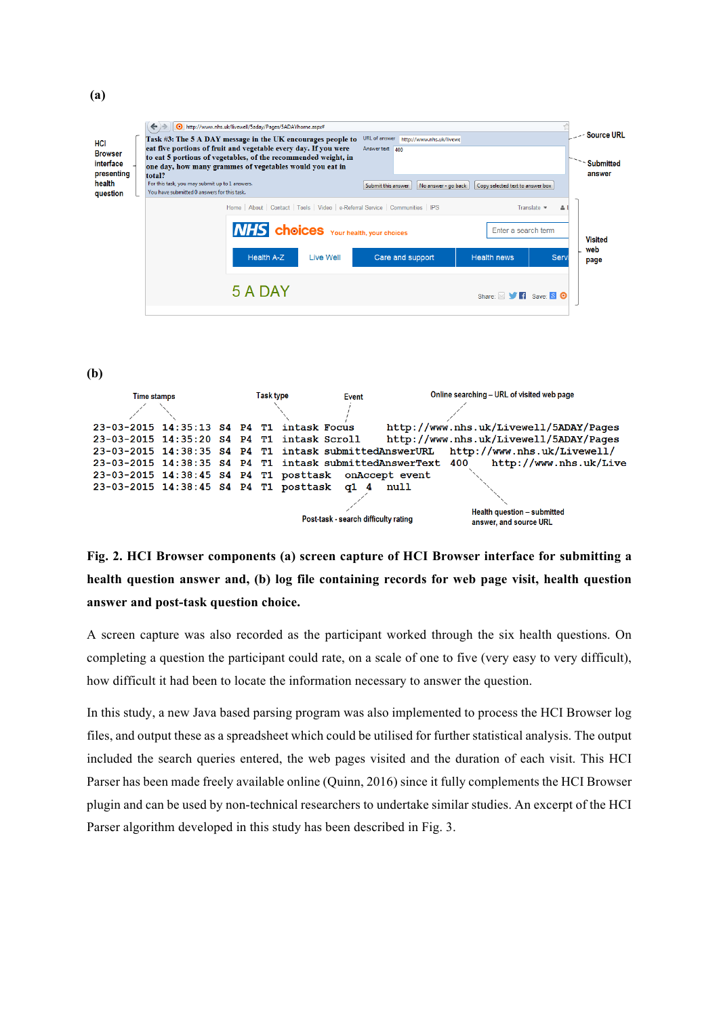| HCI<br><b>Browser</b><br>interface<br>presenting<br>health<br>question | Task #3: The 5 A DAY message in the UK encourages people to<br>eat five portions of fruit and vegetable every day. If you were<br>to eat 5 portions of vegetables, of the recommended weight, in<br>one day, how many grammes of vegetables would you eat in<br>total?<br>For this task, you may submit up to 1 answers.<br>You have submitted 0 answers for this task. | http://www.nhs.uk/livewell/5aday/Pages/5ADAYhome.aspx#     |           | URL of answer http://www.nhs.uk/livewe<br>Answer text 400<br>Submit this answer<br>Copy selected text to answer box<br>No answer - go back |                                                                                |  | -- Source URL<br><b>Submitted</b><br>answer |
|------------------------------------------------------------------------|-------------------------------------------------------------------------------------------------------------------------------------------------------------------------------------------------------------------------------------------------------------------------------------------------------------------------------------------------------------------------|------------------------------------------------------------|-----------|--------------------------------------------------------------------------------------------------------------------------------------------|--------------------------------------------------------------------------------|--|---------------------------------------------|
|                                                                        |                                                                                                                                                                                                                                                                                                                                                                         | <b>NHS</b> choices Your health, your choices<br>Health A-Z | Live Well | Home   About   Contact   Tools   Video   e-Referral Service   Communities   IPS<br>Care and support                                        | Translate $\sqrt{ }$<br>ዹ<br>Enter a search term<br><b>Health news</b><br>Serv |  | <b>Visited</b><br>web<br>page               |
|                                                                        |                                                                                                                                                                                                                                                                                                                                                                         | 5 A DAY                                                    |           |                                                                                                                                            | Share: S V Fi Save: 8 O                                                        |  |                                             |

**(b)**

| <b>Time stamps</b> |  |  | Task type |  | Online searching - URL of visited web page<br>Event                                           |
|--------------------|--|--|-----------|--|-----------------------------------------------------------------------------------------------|
|                    |  |  |           |  |                                                                                               |
|                    |  |  |           |  | http://www.nhs.uk/Livewell/5ADAY/Pages<br>23-03-2015 14:35:13 S4 P4 T1 intask Focus           |
|                    |  |  |           |  | http://www.nhs.uk/Livewell/5ADAY/Pages<br>23-03-2015 14:35:20 S4 P4 T1 intask Scroll          |
|                    |  |  |           |  | http://www.nhs.uk/Livewell/<br>23-03-2015 14:38:35 S4 P4 T1 intask submittedAnswerURL         |
|                    |  |  |           |  | http://www.nhs.uk/Live<br>23-03-2015 14:38:35 S4 P4 T1 intask submittedAnswerText 400         |
|                    |  |  |           |  | 23-03-2015 14:38:45 S4 P4 T1 posttask on Accept event                                         |
|                    |  |  |           |  | 23-03-2015 14:38:45 S4 P4 T1 posttask q1 4<br>null                                            |
|                    |  |  |           |  |                                                                                               |
|                    |  |  |           |  | Health question - submitted<br>Post-task - search difficulty rating<br>answer, and source URL |

**Fig. 2. HCI Browser components (a) screen capture of HCI Browser interface for submitting a health question answer and, (b) log file containing records for web page visit, health question answer and post-task question choice.**

A screen capture was also recorded as the participant worked through the six health questions. On completing a question the participant could rate, on a scale of one to five (very easy to very difficult), how difficult it had been to locate the information necessary to answer the question.

In this study, a new Java based parsing program was also implemented to process the HCI Browser log files, and output these as a spreadsheet which could be utilised for further statistical analysis. The output included the search queries entered, the web pages visited and the duration of each visit. This HCI Parser has been made freely available online (Quinn, 2016) since it fully complements the HCI Browser plugin and can be used by non-technical researchers to undertake similar studies. An excerpt of the HCI Parser algorithm developed in this study has been described in Fig. 3.

**(a)**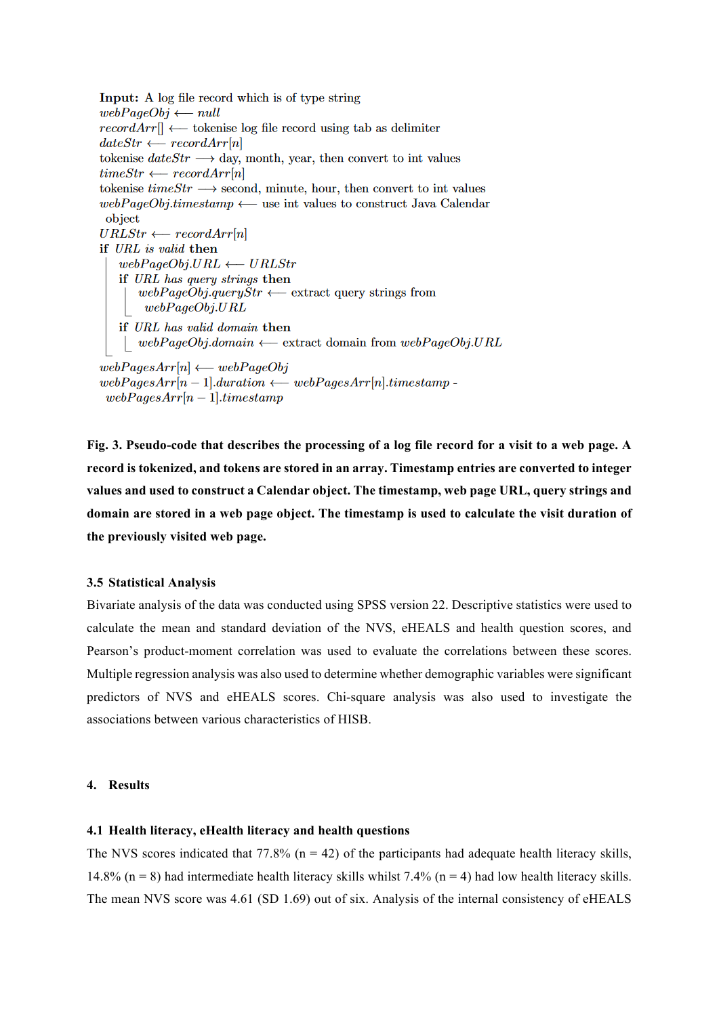```
Input: A log file record which is of type string
webPageObj \longleftarrow nullrecordArr \rightarrow tokenise log file record using tab as delimiter
dateStr \longleftarrow recordArr[n]tokenise dateStr \longrightarrow day, month, year, then convert to int values
timeStr \longleftarrow recordArr[n]tokenise timeStr \longrightarrow second, minute, hour, then convert to int values
webPageObj.time stamp \longleftarrow use int values to construct Java Calendar
 object
URLStr \longleftarrow recordArr[n]if URL is valid then
   webPageObj.URL \longleftarrow URLstrif URL has query strings then
       webPageObj.query\overset{\sim}{S}tr \longleftarrow extract query strings from
        webPageObj.URLif URL has valid domain then
    | webPageObj.domain \longleftarrow extract domain from webPageObj.URLwebPagesArr[n] \longleftarrow webPageObjwebPaqesArr[n-1].duration \longleftarrow webPaqesArr[n].timestamp -webPagesArr[n-1].time stamp
```
**Fig. 3. Pseudo-code that describes the processing of a log file record for a visit to a web page. A record is tokenized, and tokens are stored in an array. Timestamp entries are converted to integer values and used to construct a Calendar object. The timestamp, web page URL, query strings and domain are stored in a web page object. The timestamp is used to calculate the visit duration of the previously visited web page.** 

### **3.5 Statistical Analysis**

Bivariate analysis of the data was conducted using SPSS version 22. Descriptive statistics were used to calculate the mean and standard deviation of the NVS, eHEALS and health question scores, and Pearson's product-moment correlation was used to evaluate the correlations between these scores. Multiple regression analysis was also used to determine whether demographic variables were significant predictors of NVS and eHEALS scores. Chi-square analysis was also used to investigate the associations between various characteristics of HISB.

# **4. Results**

#### **4.1 Health literacy, eHealth literacy and health questions**

The NVS scores indicated that 77.8% ( $n = 42$ ) of the participants had adequate health literacy skills, 14.8% (n = 8) had intermediate health literacy skills whilst 7.4% (n = 4) had low health literacy skills. The mean NVS score was 4.61 (SD 1.69) out of six. Analysis of the internal consistency of eHEALS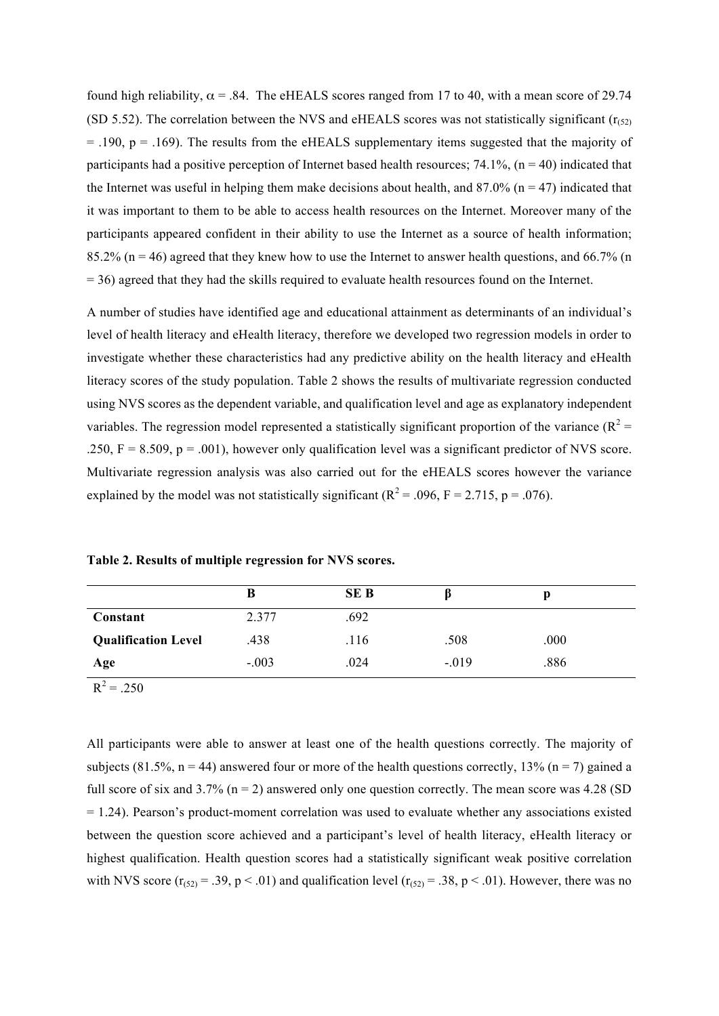found high reliability,  $\alpha$  = .84. The eHEALS scores ranged from 17 to 40, with a mean score of 29.74 (SD 5.52). The correlation between the NVS and eHEALS scores was not statistically significant ( $r(s<sub>2</sub>)$ )  $=$  .190, p  $=$  .169). The results from the eHEALS supplementary items suggested that the majority of participants had a positive perception of Internet based health resources;  $74.1\%$ ,  $(n = 40)$  indicated that the Internet was useful in helping them make decisions about health, and  $87.0\%$  (n = 47) indicated that it was important to them to be able to access health resources on the Internet. Moreover many of the participants appeared confident in their ability to use the Internet as a source of health information; 85.2% (n = 46) agreed that they knew how to use the Internet to answer health questions, and 66.7% (n = 36) agreed that they had the skills required to evaluate health resources found on the Internet.

A number of studies have identified age and educational attainment as determinants of an individual's level of health literacy and eHealth literacy, therefore we developed two regression models in order to investigate whether these characteristics had any predictive ability on the health literacy and eHealth literacy scores of the study population. Table 2 shows the results of multivariate regression conducted using NVS scores as the dependent variable, and qualification level and age as explanatory independent variables. The regression model represented a statistically significant proportion of the variance ( $R^2$  = .250,  $F = 8.509$ ,  $p = .001$ ), however only qualification level was a significant predictor of NVS score. Multivariate regression analysis was also carried out for the eHEALS scores however the variance explained by the model was not statistically significant ( $R^2$  = .096, F = 2.715, p = .076).

|                            | В       | <b>SEB</b> |         |      |  |
|----------------------------|---------|------------|---------|------|--|
| Constant                   | 2.377   | .692       |         |      |  |
| <b>Qualification Level</b> | .438    | .116       | .508    | .000 |  |
| Age                        | $-.003$ | .024       | $-.019$ | .886 |  |

**Table 2. Results of multiple regression for NVS scores.**

 $R^2 = 250$ 

All participants were able to answer at least one of the health questions correctly. The majority of subjects (81.5%,  $n = 44$ ) answered four or more of the health questions correctly, 13% ( $n = 7$ ) gained a full score of six and  $3.7\%$  (n = 2) answered only one question correctly. The mean score was 4.28 (SD = 1.24). Pearson's product-moment correlation was used to evaluate whether any associations existed between the question score achieved and a participant's level of health literacy, eHealth literacy or highest qualification. Health question scores had a statistically significant weak positive correlation with NVS score  $(r_{(52)} = .39, p < .01)$  and qualification level  $(r_{(52)} = .38, p < .01)$ . However, there was no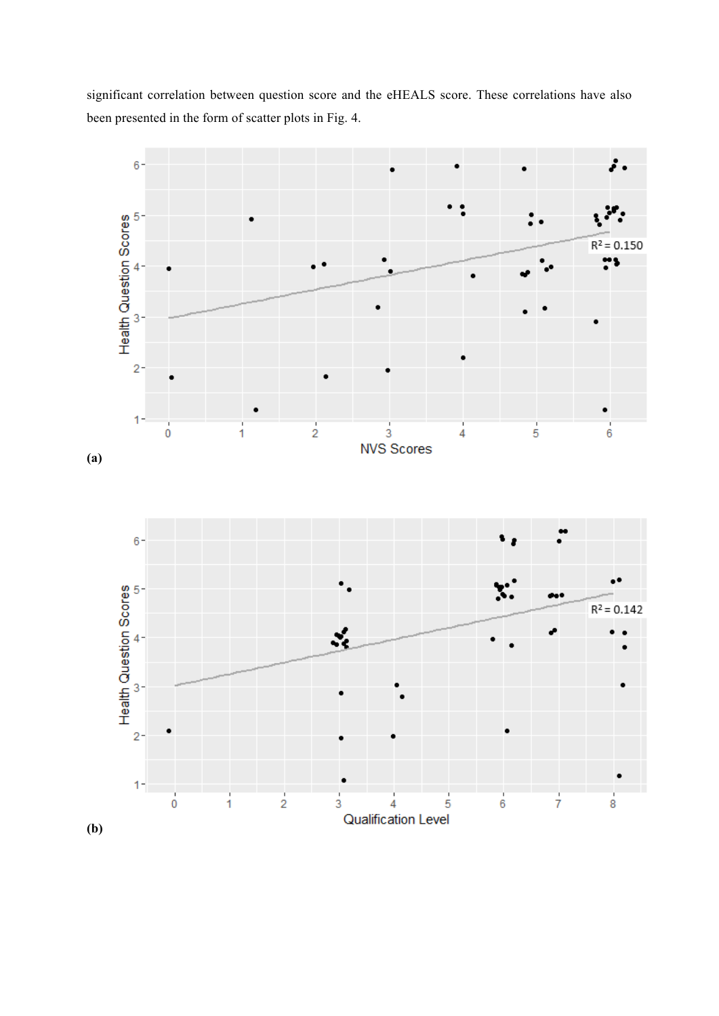significant correlation between question score and the eHEALS score. These correlations have also been presented in the form of scatter plots in Fig. 4.



**(b)**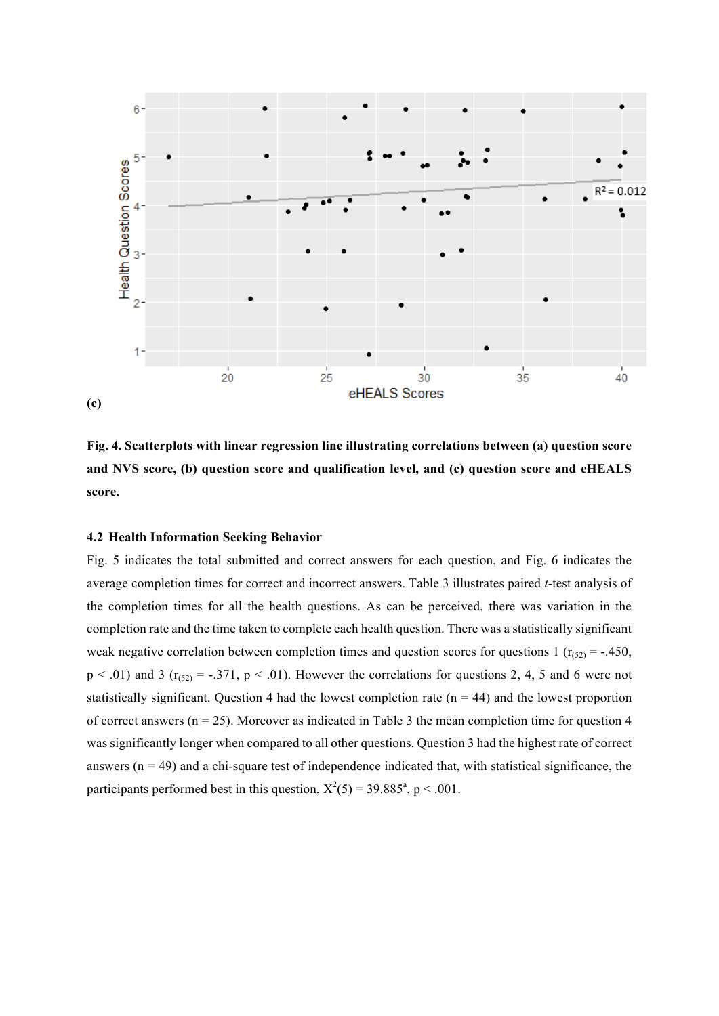

**Fig. 4. Scatterplots with linear regression line illustrating correlations between (a) question score and NVS score, (b) question score and qualification level, and (c) question score and eHEALS score.**

## **4.2 Health Information Seeking Behavior**

Fig. 5 indicates the total submitted and correct answers for each question, and Fig. 6 indicates the average completion times for correct and incorrect answers. Table 3 illustrates paired *t*-test analysis of the completion times for all the health questions. As can be perceived, there was variation in the completion rate and the time taken to complete each health question. There was a statistically significant weak negative correlation between completion times and question scores for questions 1 ( $r_{(52)} = -.450$ ,  $p < .01$ ) and 3 ( $r<sub>(52)</sub> = -.371$ ,  $p < .01$ ). However the correlations for questions 2, 4, 5 and 6 were not statistically significant. Question 4 had the lowest completion rate  $(n = 44)$  and the lowest proportion of correct answers ( $n = 25$ ). Moreover as indicated in Table 3 the mean completion time for question 4 was significantly longer when compared to all other questions. Question 3 had the highest rate of correct answers  $(n = 49)$  and a chi-square test of independence indicated that, with statistical significance, the participants performed best in this question,  $X^2(5) = 39.885^{\degree}$ , p < .001.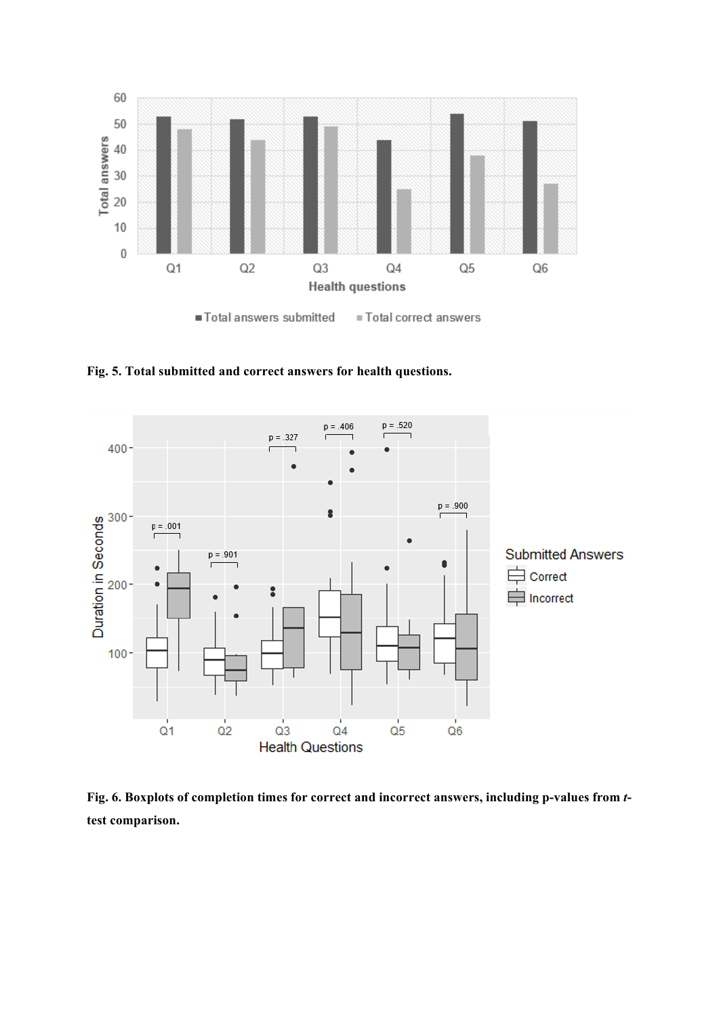

**Fig. 5. Total submitted and correct answers for health questions.**



**Fig. 6. Boxplots of completion times for correct and incorrect answers, including p-values from** *t***test comparison.**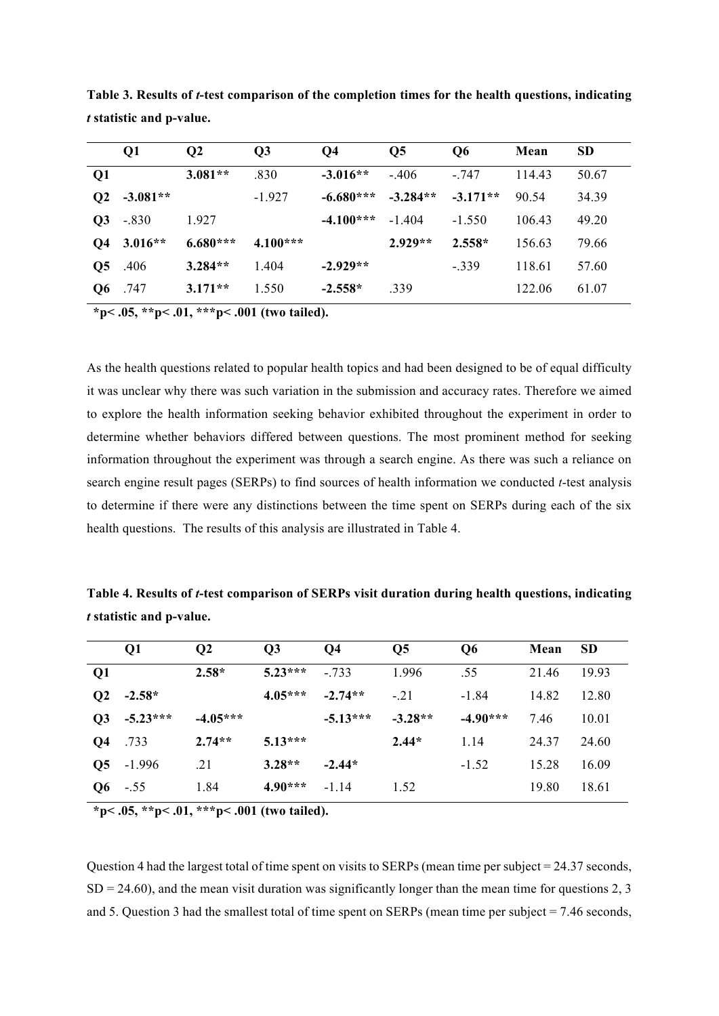|    | Q1            | $\overline{O2}$ | Q3         | Q <sub>4</sub> | Q <sub>5</sub> | Q6         | Mean   | <b>SD</b> |
|----|---------------|-----------------|------------|----------------|----------------|------------|--------|-----------|
| Q1 |               | $3.081**$       | .830       | $-3.016**$     | $-.406$        | $-.747$    | 114.43 | 50.67     |
|    | $Q2 -3.081**$ |                 | $-1.927$   | $-6.680***$    | $-3.284**$     | $-3.171**$ | 90.54  | 34.39     |
|    | $Q3 - .830$   | 1.927           |            | $-4.100***$    | $-1.404$       | $-1.550$   | 106.43 | 49.20     |
|    | Q4 3.016**    | $6.680***$      | $4.100***$ |                | $2.929**$      | $2.558*$   | 156.63 | 79.66     |
| Q5 | .406          | $3.284**$       | 1.404      | $-2.929**$     |                | $-.339$    | 118.61 | 57.60     |
| Q6 | .747          | $3.171**$       | 1.550      | $-2.558*$      | .339           |            | 122.06 | 61.07     |

**Table 3. Results of** *t***-test comparison of the completion times for the health questions, indicating**  *t* **statistic and p-value.** 

**\*p< .05, \*\*p< .01, \*\*\*p< .001 (two tailed).**

As the health questions related to popular health topics and had been designed to be of equal difficulty it was unclear why there was such variation in the submission and accuracy rates. Therefore we aimed to explore the health information seeking behavior exhibited throughout the experiment in order to determine whether behaviors differed between questions. The most prominent method for seeking information throughout the experiment was through a search engine. As there was such a reliance on search engine result pages (SERPs) to find sources of health information we conducted *t*-test analysis to determine if there were any distinctions between the time spent on SERPs during each of the six health questions. The results of this analysis are illustrated in Table 4.

**Table 4. Results of** *t***-test comparison of SERPs visit duration during health questions, indicating**  *t* **statistic and p-value.**

|               | $\overline{O1}$ | $\overline{O2}$ | $\overline{O3}$ | Q4         | Q <sub>5</sub> | Q <sub>6</sub> | Mean  | <b>SD</b> |
|---------------|-----------------|-----------------|-----------------|------------|----------------|----------------|-------|-----------|
| Q1            |                 | $2.58*$         | $5.23***$       | $-733$     | 1.996          | .55            | 21.46 | 19.93     |
| $\mathbf{Q2}$ | $-2.58*$        |                 | $4.05***$       | $-2.74**$  | $-21$          | $-1.84$        | 14.82 | 12.80     |
|               | $Q3 - 5.23***$  | $-4.05***$      |                 | $-5.13***$ | $-3.28**$      | $-4.90***$     | 7.46  | 10.01     |
| Q4            | .733            | $2.74**$        | $5.13***$       |            | $2.44*$        | 1.14           | 24.37 | 24.60     |
|               | $Q5 - 1.996$    | .21             | $3.28**$        | $-2.44*$   |                | $-1.52$        | 15.28 | 16.09     |
|               | $Q6 - .55$      | 1.84            | $4.90***$       | $-1.14$    | 1.52           |                | 19.80 | 18.61     |

**\*p< .05, \*\*p< .01, \*\*\*p< .001 (two tailed).**

Question 4 had the largest total of time spent on visits to SERPs (mean time per subject  $= 24.37$  seconds,  $SD = 24.60$ ), and the mean visit duration was significantly longer than the mean time for questions 2, 3 and 5. Question 3 had the smallest total of time spent on SERPs (mean time per subject = 7.46 seconds,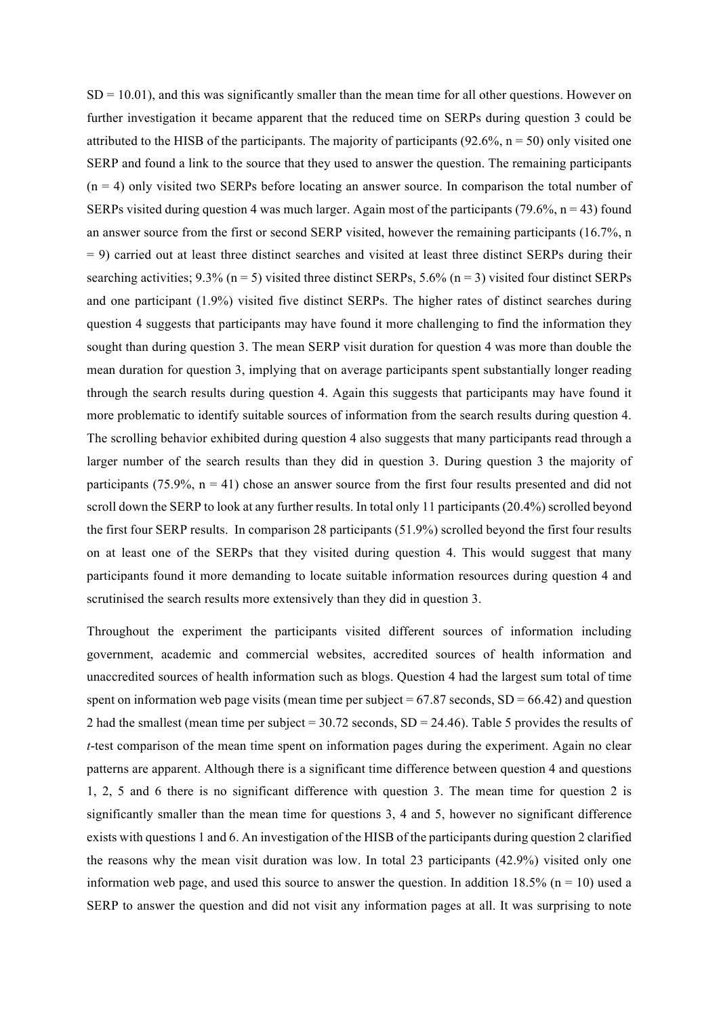$SD = 10.01$ , and this was significantly smaller than the mean time for all other questions. However on further investigation it became apparent that the reduced time on SERPs during question 3 could be attributed to the HISB of the participants. The majority of participants  $(92.6\%, n = 50)$  only visited one SERP and found a link to the source that they used to answer the question. The remaining participants (n = 4) only visited two SERPs before locating an answer source. In comparison the total number of SERPs visited during question 4 was much larger. Again most of the participants (79.6%,  $n = 43$ ) found an answer source from the first or second SERP visited, however the remaining participants (16.7%, n = 9) carried out at least three distinct searches and visited at least three distinct SERPs during their searching activities;  $9.3\%$  (n = 5) visited three distinct SERPs,  $5.6\%$  (n = 3) visited four distinct SERPs and one participant (1.9%) visited five distinct SERPs. The higher rates of distinct searches during question 4 suggests that participants may have found it more challenging to find the information they sought than during question 3. The mean SERP visit duration for question 4 was more than double the mean duration for question 3, implying that on average participants spent substantially longer reading through the search results during question 4. Again this suggests that participants may have found it more problematic to identify suitable sources of information from the search results during question 4. The scrolling behavior exhibited during question 4 also suggests that many participants read through a larger number of the search results than they did in question 3. During question 3 the majority of participants (75.9%,  $n = 41$ ) chose an answer source from the first four results presented and did not scroll down the SERP to look at any further results. In total only 11 participants (20.4%) scrolled beyond the first four SERP results. In comparison 28 participants (51.9%) scrolled beyond the first four results on at least one of the SERPs that they visited during question 4. This would suggest that many participants found it more demanding to locate suitable information resources during question 4 and scrutinised the search results more extensively than they did in question 3.

Throughout the experiment the participants visited different sources of information including government, academic and commercial websites, accredited sources of health information and unaccredited sources of health information such as blogs. Question 4 had the largest sum total of time spent on information web page visits (mean time per subject  $= 67.87$  seconds, SD  $= 66.42$ ) and question 2 had the smallest (mean time per subject = 30.72 seconds, SD = 24.46). Table 5 provides the results of *t*-test comparison of the mean time spent on information pages during the experiment. Again no clear patterns are apparent. Although there is a significant time difference between question 4 and questions 1, 2, 5 and 6 there is no significant difference with question 3. The mean time for question 2 is significantly smaller than the mean time for questions 3, 4 and 5, however no significant difference exists with questions 1 and 6. An investigation of the HISB of the participants during question 2 clarified the reasons why the mean visit duration was low. In total 23 participants (42.9%) visited only one information web page, and used this source to answer the question. In addition  $18.5\%$  (n = 10) used a SERP to answer the question and did not visit any information pages at all. It was surprising to note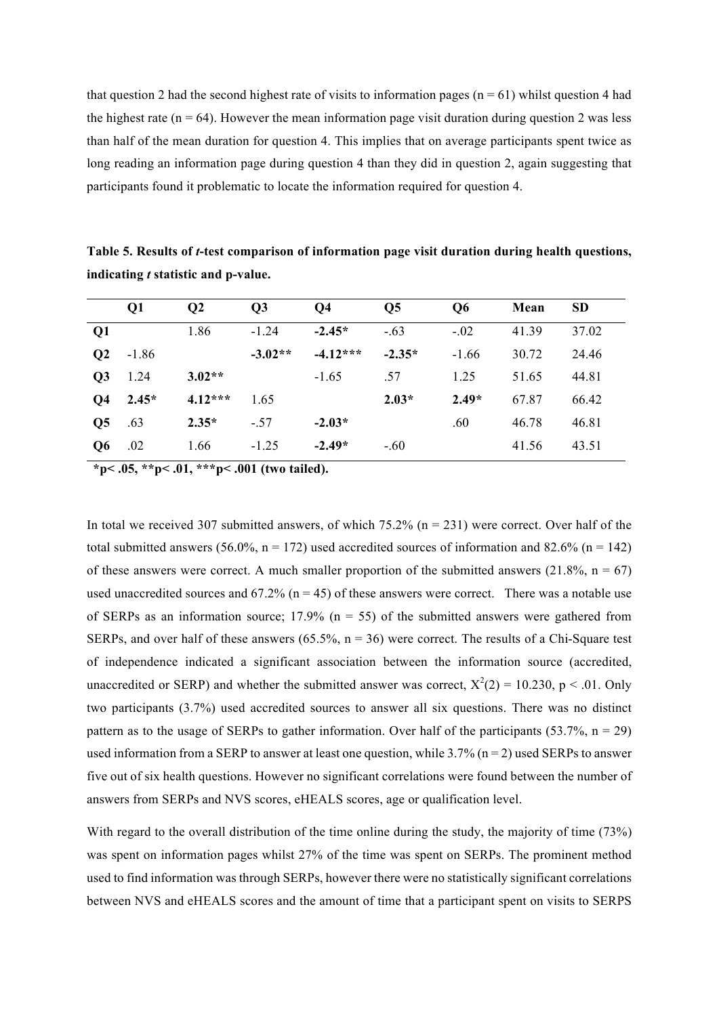that question 2 had the second highest rate of visits to information pages ( $n = 61$ ) whilst question 4 had the highest rate ( $n = 64$ ). However the mean information page visit duration during question 2 was less than half of the mean duration for question 4. This implies that on average participants spent twice as long reading an information page during question 4 than they did in question 2, again suggesting that participants found it problematic to locate the information required for question 4.

|                | Q1      | $\mathbf{Q}$ | Q3        | Q <sub>4</sub> | Q <sub>5</sub> | Q <sub>6</sub> | Mean  | <b>SD</b> |
|----------------|---------|--------------|-----------|----------------|----------------|----------------|-------|-----------|
| Q1             |         | 1.86         | $-1.24$   | $-2.45*$       | $-.63$         | $-.02$         | 41.39 | 37.02     |
| Q <sub>2</sub> | $-1.86$ |              | $-3.02**$ | $-4.12***$     | $-2.35*$       | $-1.66$        | 30.72 | 24.46     |
| Q <sub>3</sub> | 1.24    | $3.02**$     |           | $-1.65$        | .57            | 1.25           | 51.65 | 44.81     |
| Q <sub>4</sub> | $2.45*$ | $4.12***$    | 1.65      |                | $2.03*$        | $2.49*$        | 67.87 | 66.42     |
| Q <sub>5</sub> | .63     | $2.35*$      | $-.57$    | $-2.03*$       |                | .60            | 46.78 | 46.81     |
| Q <sub>6</sub> | .02     | 1.66         | $-1.25$   | $-2.49*$       | $-.60$         |                | 41.56 | 43.51     |

**Table 5. Results of** *t***-test comparison of information page visit duration during health questions, indicating** *t* **statistic and p-value.**

**\*p< .05, \*\*p< .01, \*\*\*p< .001 (two tailed).**

In total we received 307 submitted answers, of which  $75.2\%$  (n = 231) were correct. Over half of the total submitted answers (56.0%,  $n = 172$ ) used accredited sources of information and 82.6% ( $n = 142$ ) of these answers were correct. A much smaller proportion of the submitted answers  $(21.8\%$ , n = 67) used unaccredited sources and  $67.2\%$  (n = 45) of these answers were correct. There was a notable use of SERPs as an information source; 17.9% ( $n = 55$ ) of the submitted answers were gathered from SERPs, and over half of these answers  $(65.5\%, n = 36)$  were correct. The results of a Chi-Square test of independence indicated a significant association between the information source (accredited, unaccredited or SERP) and whether the submitted answer was correct,  $X^2(2) = 10.230$ , p < .01. Only two participants (3.7%) used accredited sources to answer all six questions. There was no distinct pattern as to the usage of SERPs to gather information. Over half of the participants (53.7%,  $n = 29$ ) used information from a SERP to answer at least one question, while  $3.7\%$  (n = 2) used SERPs to answer five out of six health questions. However no significant correlations were found between the number of answers from SERPs and NVS scores, eHEALS scores, age or qualification level.

With regard to the overall distribution of the time online during the study, the majority of time (73%) was spent on information pages whilst 27% of the time was spent on SERPs. The prominent method used to find information was through SERPs, however there were no statistically significant correlations between NVS and eHEALS scores and the amount of time that a participant spent on visits to SERPS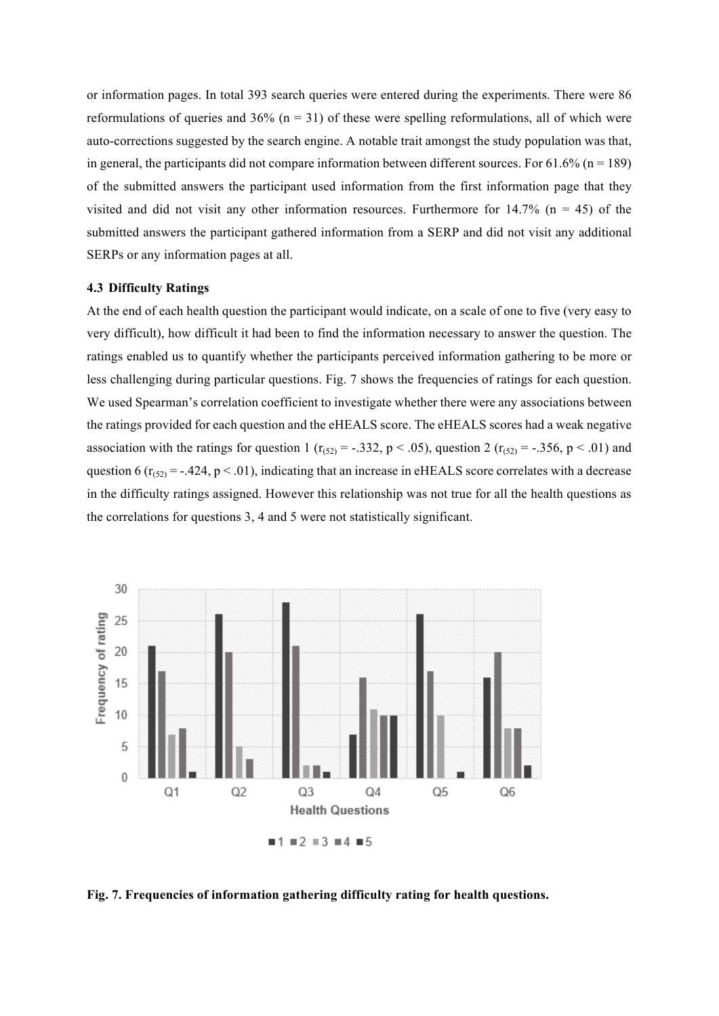or information pages. In total 393 search queries were entered during the experiments. There were 86 reformulations of queries and  $36\%$  (n = 31) of these were spelling reformulations, all of which were auto-corrections suggested by the search engine. A notable trait amongst the study population was that, in general, the participants did not compare information between different sources. For  $61.6\%$  (n = 189) of the submitted answers the participant used information from the first information page that they visited and did not visit any other information resources. Furthermore for  $14.7\%$  (n = 45) of the submitted answers the participant gathered information from a SERP and did not visit any additional SERPs or any information pages at all.

# **4.3 Difficulty Ratings**

At the end of each health question the participant would indicate, on a scale of one to five (very easy to very difficult), how difficult it had been to find the information necessary to answer the question. The ratings enabled us to quantify whether the participants perceived information gathering to be more or less challenging during particular questions. Fig. 7 shows the frequencies of ratings for each question. We used Spearman's correlation coefficient to investigate whether there were any associations between the ratings provided for each question and the eHEALS score. The eHEALS scores had a weak negative association with the ratings for question 1 ( $r_{(52)} = -.332$ ,  $p < .05$ ), question 2 ( $r_{(52)} = -.356$ ,  $p < .01$ ) and question 6 ( $r_{(52)} = -0.424$ , p < .01), indicating that an increase in eHEALS score correlates with a decrease in the difficulty ratings assigned. However this relationship was not true for all the health questions as the correlations for questions 3, 4 and 5 were not statistically significant.



**Fig. 7. Frequencies of information gathering difficulty rating for health questions.**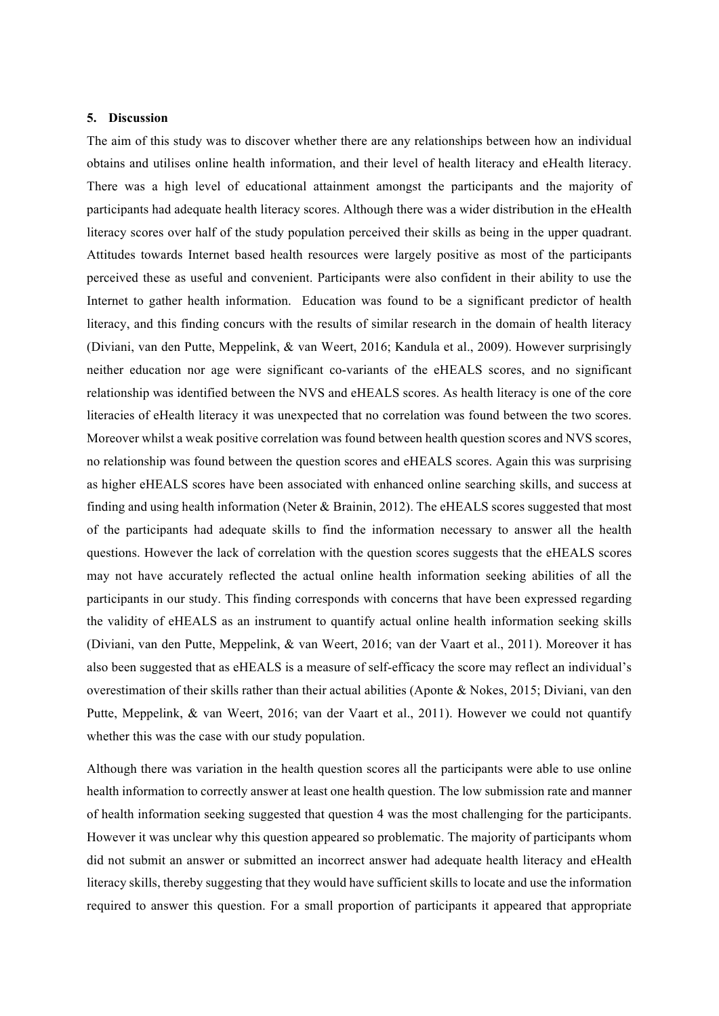### **5. Discussion**

The aim of this study was to discover whether there are any relationships between how an individual obtains and utilises online health information, and their level of health literacy and eHealth literacy. There was a high level of educational attainment amongst the participants and the majority of participants had adequate health literacy scores. Although there was a wider distribution in the eHealth literacy scores over half of the study population perceived their skills as being in the upper quadrant. Attitudes towards Internet based health resources were largely positive as most of the participants perceived these as useful and convenient. Participants were also confident in their ability to use the Internet to gather health information. Education was found to be a significant predictor of health literacy, and this finding concurs with the results of similar research in the domain of health literacy (Diviani, van den Putte, Meppelink, & van Weert, 2016; Kandula et al., 2009). However surprisingly neither education nor age were significant co-variants of the eHEALS scores, and no significant relationship was identified between the NVS and eHEALS scores. As health literacy is one of the core literacies of eHealth literacy it was unexpected that no correlation was found between the two scores. Moreover whilst a weak positive correlation was found between health question scores and NVS scores, no relationship was found between the question scores and eHEALS scores. Again this was surprising as higher eHEALS scores have been associated with enhanced online searching skills, and success at finding and using health information (Neter & Brainin, 2012). The eHEALS scores suggested that most of the participants had adequate skills to find the information necessary to answer all the health questions. However the lack of correlation with the question scores suggests that the eHEALS scores may not have accurately reflected the actual online health information seeking abilities of all the participants in our study. This finding corresponds with concerns that have been expressed regarding the validity of eHEALS as an instrument to quantify actual online health information seeking skills (Diviani, van den Putte, Meppelink, & van Weert, 2016; van der Vaart et al., 2011). Moreover it has also been suggested that as eHEALS is a measure of self-efficacy the score may reflect an individual's overestimation of their skills rather than their actual abilities (Aponte & Nokes, 2015; Diviani, van den Putte, Meppelink, & van Weert, 2016; van der Vaart et al., 2011). However we could not quantify whether this was the case with our study population.

Although there was variation in the health question scores all the participants were able to use online health information to correctly answer at least one health question. The low submission rate and manner of health information seeking suggested that question 4 was the most challenging for the participants. However it was unclear why this question appeared so problematic. The majority of participants whom did not submit an answer or submitted an incorrect answer had adequate health literacy and eHealth literacy skills, thereby suggesting that they would have sufficient skills to locate and use the information required to answer this question. For a small proportion of participants it appeared that appropriate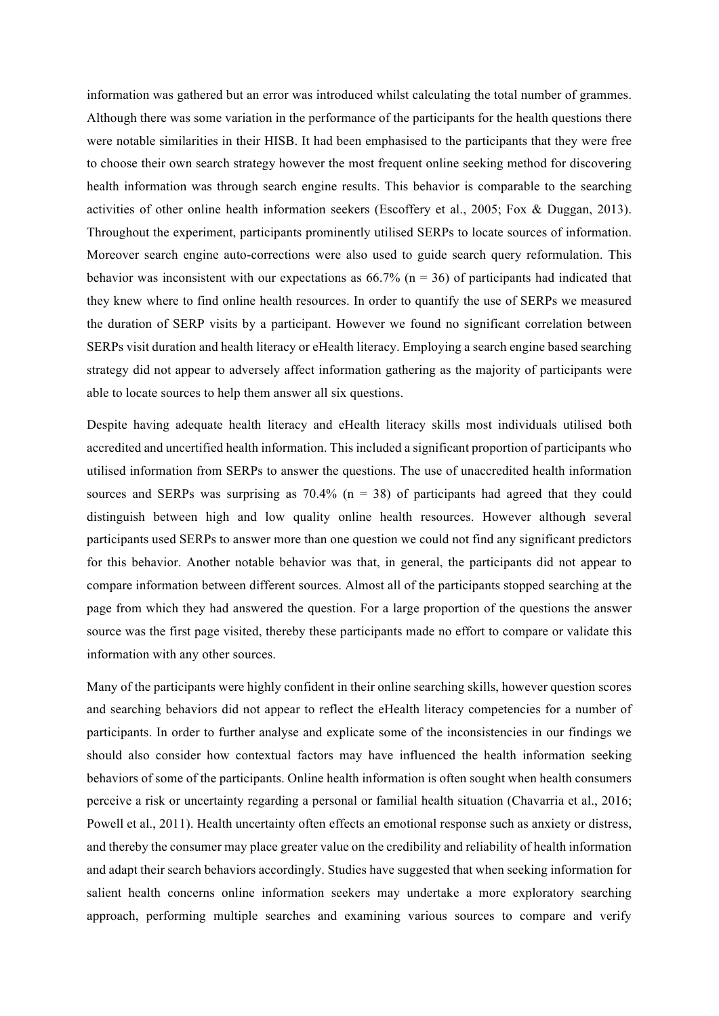information was gathered but an error was introduced whilst calculating the total number of grammes. Although there was some variation in the performance of the participants for the health questions there were notable similarities in their HISB. It had been emphasised to the participants that they were free to choose their own search strategy however the most frequent online seeking method for discovering health information was through search engine results. This behavior is comparable to the searching activities of other online health information seekers (Escoffery et al., 2005; Fox & Duggan, 2013). Throughout the experiment, participants prominently utilised SERPs to locate sources of information. Moreover search engine auto-corrections were also used to guide search query reformulation. This behavior was inconsistent with our expectations as  $66.7\%$  (n = 36) of participants had indicated that they knew where to find online health resources. In order to quantify the use of SERPs we measured the duration of SERP visits by a participant. However we found no significant correlation between SERPs visit duration and health literacy or eHealth literacy. Employing a search engine based searching strategy did not appear to adversely affect information gathering as the majority of participants were able to locate sources to help them answer all six questions.

Despite having adequate health literacy and eHealth literacy skills most individuals utilised both accredited and uncertified health information. This included a significant proportion of participants who utilised information from SERPs to answer the questions. The use of unaccredited health information sources and SERPs was surprising as  $70.4\%$  (n = 38) of participants had agreed that they could distinguish between high and low quality online health resources. However although several participants used SERPs to answer more than one question we could not find any significant predictors for this behavior. Another notable behavior was that, in general, the participants did not appear to compare information between different sources. Almost all of the participants stopped searching at the page from which they had answered the question. For a large proportion of the questions the answer source was the first page visited, thereby these participants made no effort to compare or validate this information with any other sources.

Many of the participants were highly confident in their online searching skills, however question scores and searching behaviors did not appear to reflect the eHealth literacy competencies for a number of participants. In order to further analyse and explicate some of the inconsistencies in our findings we should also consider how contextual factors may have influenced the health information seeking behaviors of some of the participants. Online health information is often sought when health consumers perceive a risk or uncertainty regarding a personal or familial health situation (Chavarria et al., 2016; Powell et al., 2011). Health uncertainty often effects an emotional response such as anxiety or distress, and thereby the consumer may place greater value on the credibility and reliability of health information and adapt their search behaviors accordingly. Studies have suggested that when seeking information for salient health concerns online information seekers may undertake a more exploratory searching approach, performing multiple searches and examining various sources to compare and verify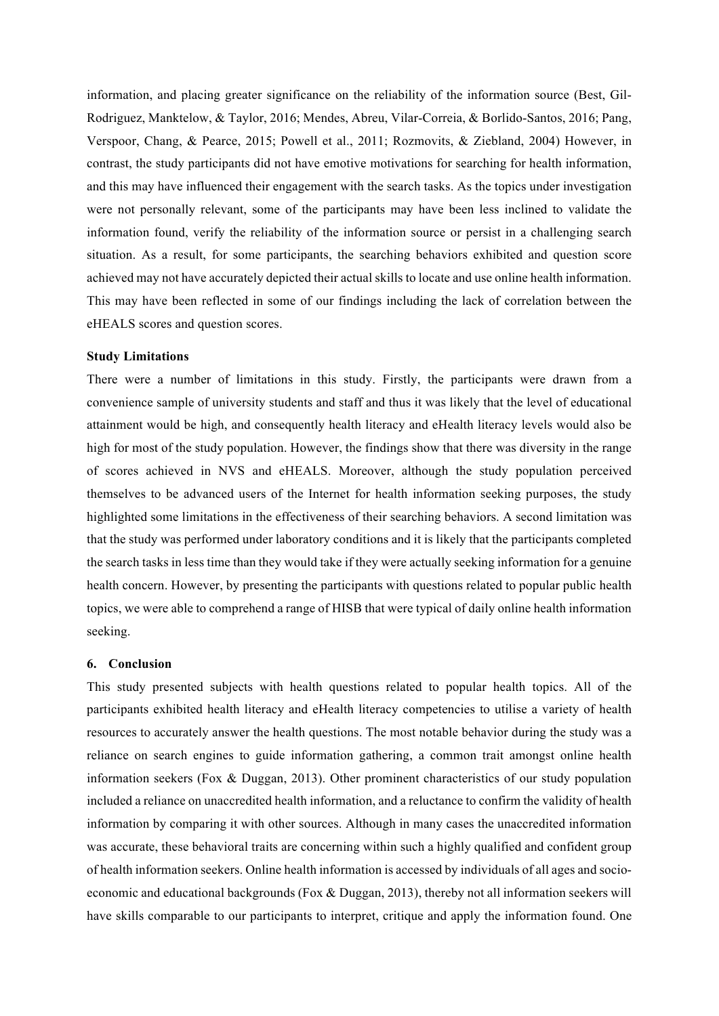information, and placing greater significance on the reliability of the information source (Best, Gil-Rodriguez, Manktelow, & Taylor, 2016; Mendes, Abreu, Vilar-Correia, & Borlido-Santos, 2016; Pang, Verspoor, Chang, & Pearce, 2015; Powell et al., 2011; Rozmovits, & Ziebland, 2004) However, in contrast, the study participants did not have emotive motivations for searching for health information, and this may have influenced their engagement with the search tasks. As the topics under investigation were not personally relevant, some of the participants may have been less inclined to validate the information found, verify the reliability of the information source or persist in a challenging search situation. As a result, for some participants, the searching behaviors exhibited and question score achieved may not have accurately depicted their actual skills to locate and use online health information. This may have been reflected in some of our findings including the lack of correlation between the eHEALS scores and question scores.

# **Study Limitations**

There were a number of limitations in this study. Firstly, the participants were drawn from a convenience sample of university students and staff and thus it was likely that the level of educational attainment would be high, and consequently health literacy and eHealth literacy levels would also be high for most of the study population. However, the findings show that there was diversity in the range of scores achieved in NVS and eHEALS. Moreover, although the study population perceived themselves to be advanced users of the Internet for health information seeking purposes, the study highlighted some limitations in the effectiveness of their searching behaviors. A second limitation was that the study was performed under laboratory conditions and it is likely that the participants completed the search tasks in less time than they would take if they were actually seeking information for a genuine health concern. However, by presenting the participants with questions related to popular public health topics, we were able to comprehend a range of HISB that were typical of daily online health information seeking.

### **6. Conclusion**

This study presented subjects with health questions related to popular health topics. All of the participants exhibited health literacy and eHealth literacy competencies to utilise a variety of health resources to accurately answer the health questions. The most notable behavior during the study was a reliance on search engines to guide information gathering, a common trait amongst online health information seekers (Fox & Duggan, 2013). Other prominent characteristics of our study population included a reliance on unaccredited health information, and a reluctance to confirm the validity of health information by comparing it with other sources. Although in many cases the unaccredited information was accurate, these behavioral traits are concerning within such a highly qualified and confident group of health information seekers. Online health information is accessed by individuals of all ages and socioeconomic and educational backgrounds (Fox  $\&$  Duggan, 2013), thereby not all information seekers will have skills comparable to our participants to interpret, critique and apply the information found. One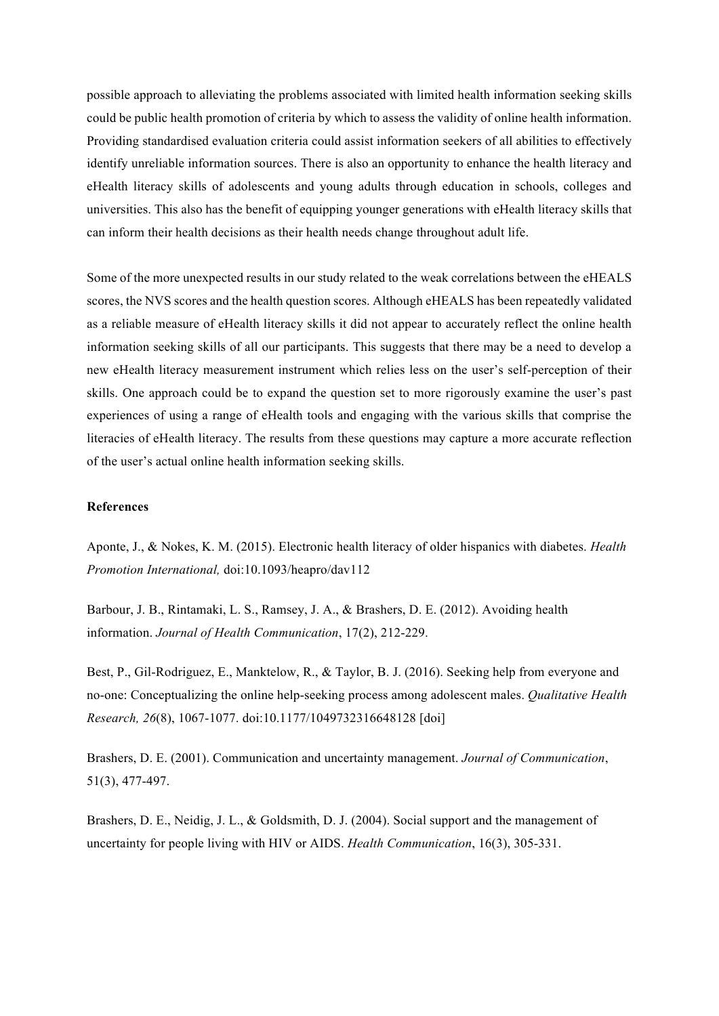possible approach to alleviating the problems associated with limited health information seeking skills could be public health promotion of criteria by which to assess the validity of online health information. Providing standardised evaluation criteria could assist information seekers of all abilities to effectively identify unreliable information sources. There is also an opportunity to enhance the health literacy and eHealth literacy skills of adolescents and young adults through education in schools, colleges and universities. This also has the benefit of equipping younger generations with eHealth literacy skills that can inform their health decisions as their health needs change throughout adult life.

Some of the more unexpected results in our study related to the weak correlations between the eHEALS scores, the NVS scores and the health question scores. Although eHEALS has been repeatedly validated as a reliable measure of eHealth literacy skills it did not appear to accurately reflect the online health information seeking skills of all our participants. This suggests that there may be a need to develop a new eHealth literacy measurement instrument which relies less on the user's self-perception of their skills. One approach could be to expand the question set to more rigorously examine the user's past experiences of using a range of eHealth tools and engaging with the various skills that comprise the literacies of eHealth literacy. The results from these questions may capture a more accurate reflection of the user's actual online health information seeking skills.

## **References**

Aponte, J., & Nokes, K. M. (2015). Electronic health literacy of older hispanics with diabetes. *Health Promotion International,* doi:10.1093/heapro/dav112

Barbour, J. B., Rintamaki, L. S., Ramsey, J. A., & Brashers, D. E. (2012). Avoiding health information. *Journal of Health Communication*, 17(2), 212-229.

Best, P., Gil-Rodriguez, E., Manktelow, R., & Taylor, B. J. (2016). Seeking help from everyone and no-one: Conceptualizing the online help-seeking process among adolescent males. *Qualitative Health Research, 26*(8), 1067-1077. doi:10.1177/1049732316648128 [doi]

Brashers, D. E. (2001). Communication and uncertainty management. *Journal of Communication*, 51(3), 477-497.

Brashers, D. E., Neidig, J. L., & Goldsmith, D. J. (2004). Social support and the management of uncertainty for people living with HIV or AIDS. *Health Communication*, 16(3), 305-331.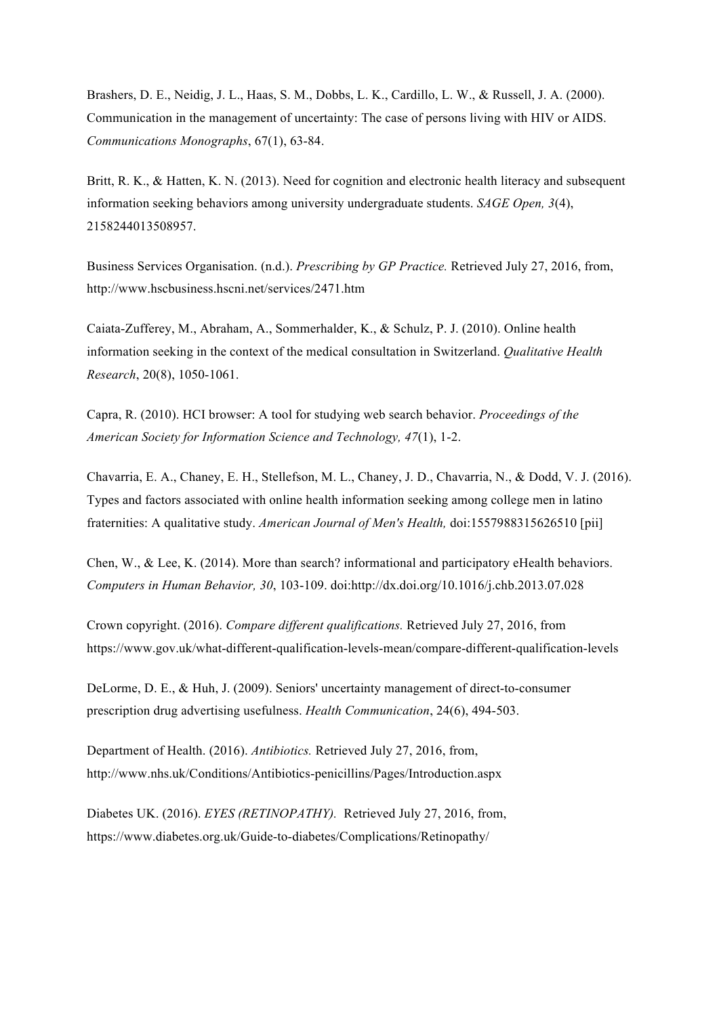Brashers, D. E., Neidig, J. L., Haas, S. M., Dobbs, L. K., Cardillo, L. W., & Russell, J. A. (2000). Communication in the management of uncertainty: The case of persons living with HIV or AIDS. *Communications Monographs*, 67(1), 63-84.

Britt, R. K., & Hatten, K. N. (2013). Need for cognition and electronic health literacy and subsequent information seeking behaviors among university undergraduate students. *SAGE Open, 3*(4), 2158244013508957.

Business Services Organisation. (n.d.). *Prescribing by GP Practice.* Retrieved July 27, 2016, from, http://www.hscbusiness.hscni.net/services/2471.htm

Caiata-Zufferey, M., Abraham, A., Sommerhalder, K., & Schulz, P. J. (2010). Online health information seeking in the context of the medical consultation in Switzerland. *Qualitative Health Research*, 20(8), 1050-1061.

Capra, R. (2010). HCI browser: A tool for studying web search behavior. *Proceedings of the American Society for Information Science and Technology, 47*(1), 1-2.

Chavarria, E. A., Chaney, E. H., Stellefson, M. L., Chaney, J. D., Chavarria, N., & Dodd, V. J. (2016). Types and factors associated with online health information seeking among college men in latino fraternities: A qualitative study. *American Journal of Men's Health,* doi:1557988315626510 [pii]

Chen, W., & Lee, K. (2014). More than search? informational and participatory eHealth behaviors. *Computers in Human Behavior, 30*, 103-109. doi:http://dx.doi.org/10.1016/j.chb.2013.07.028

Crown copyright. (2016). *Compare different qualifications.* Retrieved July 27, 2016, from https://www.gov.uk/what-different-qualification-levels-mean/compare-different-qualification-levels

DeLorme, D. E., & Huh, J. (2009). Seniors' uncertainty management of direct-to-consumer prescription drug advertising usefulness. *Health Communication*, 24(6), 494-503.

Department of Health. (2016). *Antibiotics.* Retrieved July 27, 2016, from, http://www.nhs.uk/Conditions/Antibiotics-penicillins/Pages/Introduction.aspx

Diabetes UK. (2016). *EYES (RETINOPATHY).* Retrieved July 27, 2016, from, https://www.diabetes.org.uk/Guide-to-diabetes/Complications/Retinopathy/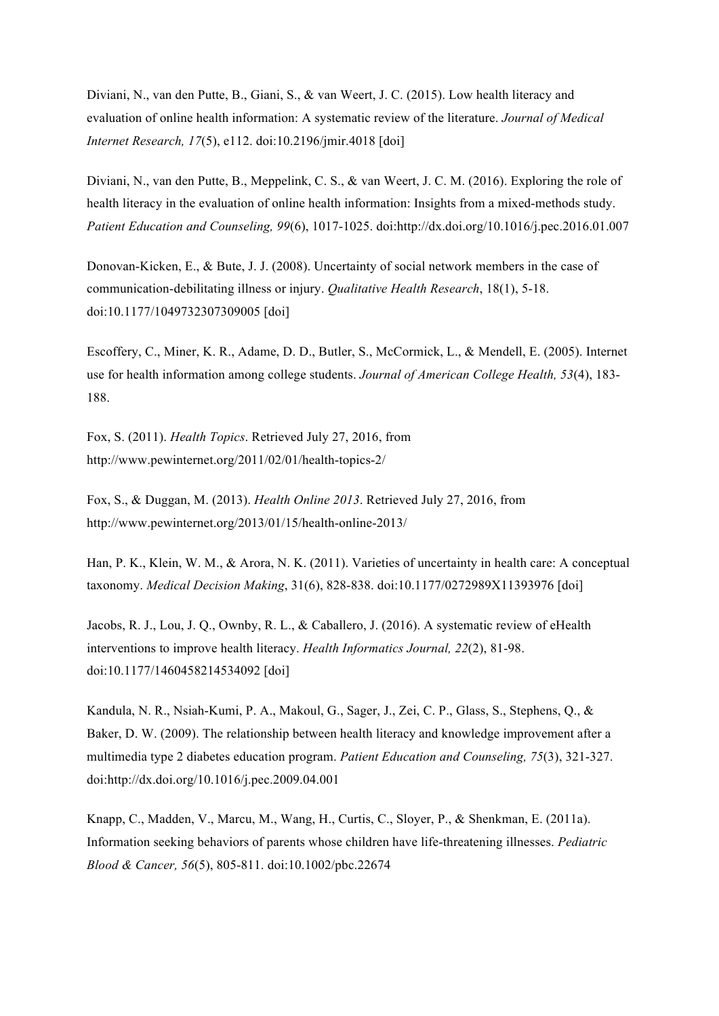Diviani, N., van den Putte, B., Giani, S., & van Weert, J. C. (2015). Low health literacy and evaluation of online health information: A systematic review of the literature. *Journal of Medical Internet Research, 17*(5), e112. doi:10.2196/jmir.4018 [doi]

Diviani, N., van den Putte, B., Meppelink, C. S., & van Weert, J. C. M. (2016). Exploring the role of health literacy in the evaluation of online health information: Insights from a mixed-methods study. *Patient Education and Counseling, 99*(6), 1017-1025. doi:http://dx.doi.org/10.1016/j.pec.2016.01.007

Donovan-Kicken, E., & Bute, J. J. (2008). Uncertainty of social network members in the case of communication-debilitating illness or injury. *Qualitative Health Research*, 18(1), 5-18. doi:10.1177/1049732307309005 [doi]

Escoffery, C., Miner, K. R., Adame, D. D., Butler, S., McCormick, L., & Mendell, E. (2005). Internet use for health information among college students. *Journal of American College Health, 53*(4), 183- 188.

Fox, S. (2011). *Health Topics*. Retrieved July 27, 2016, from http://www.pewinternet.org/2011/02/01/health-topics-2/

Fox, S., & Duggan, M. (2013). *Health Online 2013*. Retrieved July 27, 2016, from http://www.pewinternet.org/2013/01/15/health-online-2013/

Han, P. K., Klein, W. M., & Arora, N. K. (2011). Varieties of uncertainty in health care: A conceptual taxonomy. *Medical Decision Making*, 31(6), 828-838. doi:10.1177/0272989X11393976 [doi]

Jacobs, R. J., Lou, J. Q., Ownby, R. L., & Caballero, J. (2016). A systematic review of eHealth interventions to improve health literacy. *Health Informatics Journal, 22*(2), 81-98. doi:10.1177/1460458214534092 [doi]

Kandula, N. R., Nsiah-Kumi, P. A., Makoul, G., Sager, J., Zei, C. P., Glass, S., Stephens, Q., & Baker, D. W. (2009). The relationship between health literacy and knowledge improvement after a multimedia type 2 diabetes education program. *Patient Education and Counseling, 75*(3), 321-327. doi:http://dx.doi.org/10.1016/j.pec.2009.04.001

Knapp, C., Madden, V., Marcu, M., Wang, H., Curtis, C., Sloyer, P., & Shenkman, E. (2011a). Information seeking behaviors of parents whose children have life-threatening illnesses. *Pediatric Blood & Cancer, 56*(5), 805-811. doi:10.1002/pbc.22674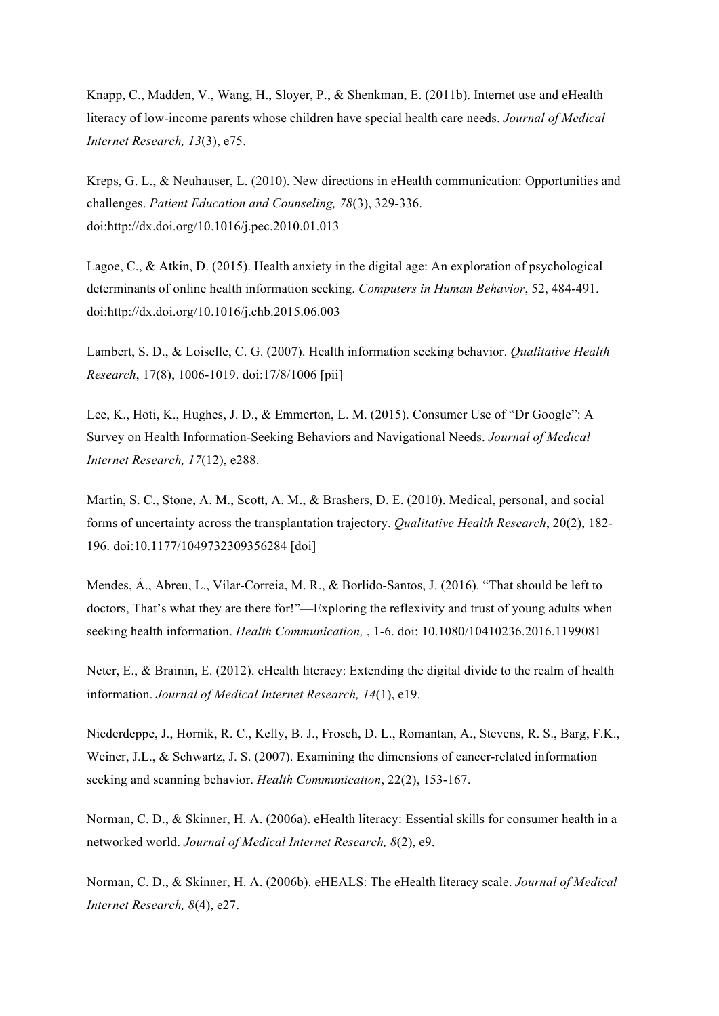Knapp, C., Madden, V., Wang, H., Sloyer, P., & Shenkman, E. (2011b). Internet use and eHealth literacy of low-income parents whose children have special health care needs. *Journal of Medical Internet Research, 13*(3), e75.

Kreps, G. L., & Neuhauser, L. (2010). New directions in eHealth communication: Opportunities and challenges. *Patient Education and Counseling, 78*(3), 329-336. doi:http://dx.doi.org/10.1016/j.pec.2010.01.013

Lagoe, C., & Atkin, D. (2015). Health anxiety in the digital age: An exploration of psychological determinants of online health information seeking. *Computers in Human Behavior*, 52, 484-491. doi:http://dx.doi.org/10.1016/j.chb.2015.06.003

Lambert, S. D., & Loiselle, C. G. (2007). Health information seeking behavior. *Qualitative Health Research*, 17(8), 1006-1019. doi:17/8/1006 [pii]

Lee, K., Hoti, K., Hughes, J. D., & Emmerton, L. M. (2015). Consumer Use of "Dr Google": A Survey on Health Information-Seeking Behaviors and Navigational Needs. *Journal of Medical Internet Research, 17*(12), e288.

Martin, S. C., Stone, A. M., Scott, A. M., & Brashers, D. E. (2010). Medical, personal, and social forms of uncertainty across the transplantation trajectory. *Qualitative Health Research*, 20(2), 182- 196. doi:10.1177/1049732309356284 [doi]

Mendes, Á., Abreu, L., Vilar-Correia, M. R., & Borlido-Santos, J. (2016). "That should be left to doctors, That's what they are there for!"—Exploring the reflexivity and trust of young adults when seeking health information. *Health Communication,* , 1-6. doi: 10.1080/10410236.2016.1199081

Neter, E., & Brainin, E. (2012). eHealth literacy: Extending the digital divide to the realm of health information. *Journal of Medical Internet Research, 14*(1), e19.

Niederdeppe, J., Hornik, R. C., Kelly, B. J., Frosch, D. L., Romantan, A., Stevens, R. S., Barg, F.K., Weiner, J.L., & Schwartz, J. S. (2007). Examining the dimensions of cancer-related information seeking and scanning behavior. *Health Communication*, 22(2), 153-167.

Norman, C. D., & Skinner, H. A. (2006a). eHealth literacy: Essential skills for consumer health in a networked world. *Journal of Medical Internet Research, 8*(2), e9.

Norman, C. D., & Skinner, H. A. (2006b). eHEALS: The eHealth literacy scale. *Journal of Medical Internet Research, 8*(4), e27.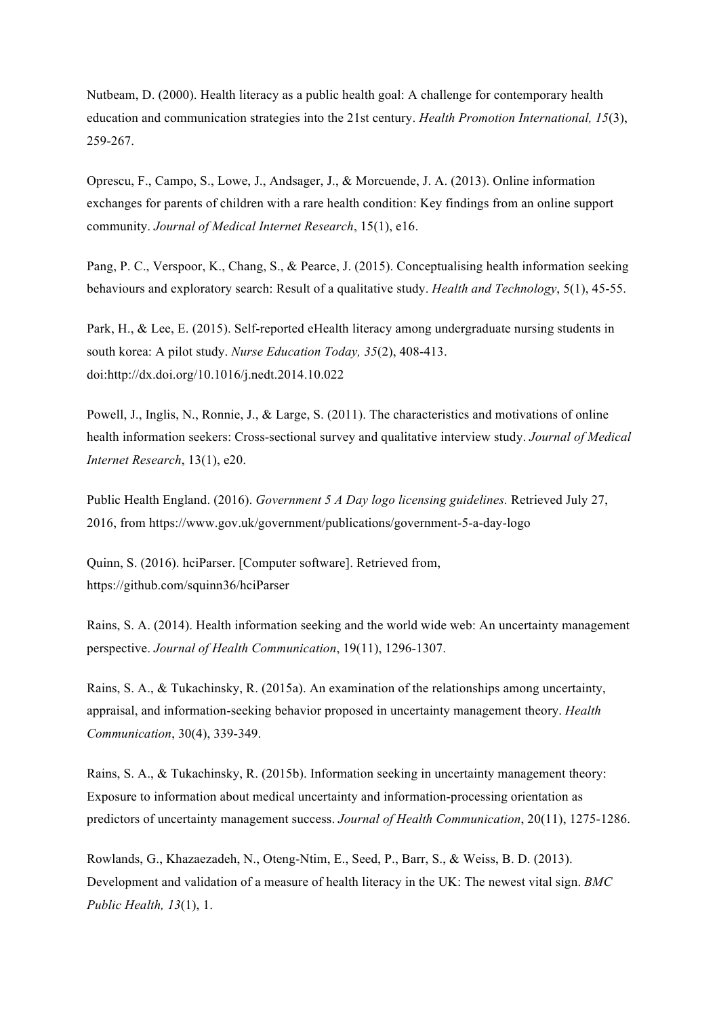Nutbeam, D. (2000). Health literacy as a public health goal: A challenge for contemporary health education and communication strategies into the 21st century. *Health Promotion International, 15*(3), 259-267.

Oprescu, F., Campo, S., Lowe, J., Andsager, J., & Morcuende, J. A. (2013). Online information exchanges for parents of children with a rare health condition: Key findings from an online support community. *Journal of Medical Internet Research*, 15(1), e16.

Pang, P. C., Verspoor, K., Chang, S., & Pearce, J. (2015). Conceptualising health information seeking behaviours and exploratory search: Result of a qualitative study. *Health and Technology*, 5(1), 45-55.

Park, H., & Lee, E. (2015). Self-reported eHealth literacy among undergraduate nursing students in south korea: A pilot study. *Nurse Education Today, 35*(2), 408-413. doi:http://dx.doi.org/10.1016/j.nedt.2014.10.022

Powell, J., Inglis, N., Ronnie, J., & Large, S. (2011). The characteristics and motivations of online health information seekers: Cross-sectional survey and qualitative interview study. *Journal of Medical Internet Research*, 13(1), e20.

Public Health England. (2016). *Government 5 A Day logo licensing guidelines.* Retrieved July 27, 2016, from https://www.gov.uk/government/publications/government-5-a-day-logo

Quinn, S. (2016). hciParser. [Computer software]. Retrieved from, https://github.com/squinn36/hciParser

Rains, S. A. (2014). Health information seeking and the world wide web: An uncertainty management perspective. *Journal of Health Communication*, 19(11), 1296-1307.

Rains, S. A., & Tukachinsky, R. (2015a). An examination of the relationships among uncertainty, appraisal, and information-seeking behavior proposed in uncertainty management theory. *Health Communication*, 30(4), 339-349.

Rains, S. A., & Tukachinsky, R. (2015b). Information seeking in uncertainty management theory: Exposure to information about medical uncertainty and information-processing orientation as predictors of uncertainty management success. *Journal of Health Communication*, 20(11), 1275-1286.

Rowlands, G., Khazaezadeh, N., Oteng-Ntim, E., Seed, P., Barr, S., & Weiss, B. D. (2013). Development and validation of a measure of health literacy in the UK: The newest vital sign. *BMC Public Health, 13*(1), 1.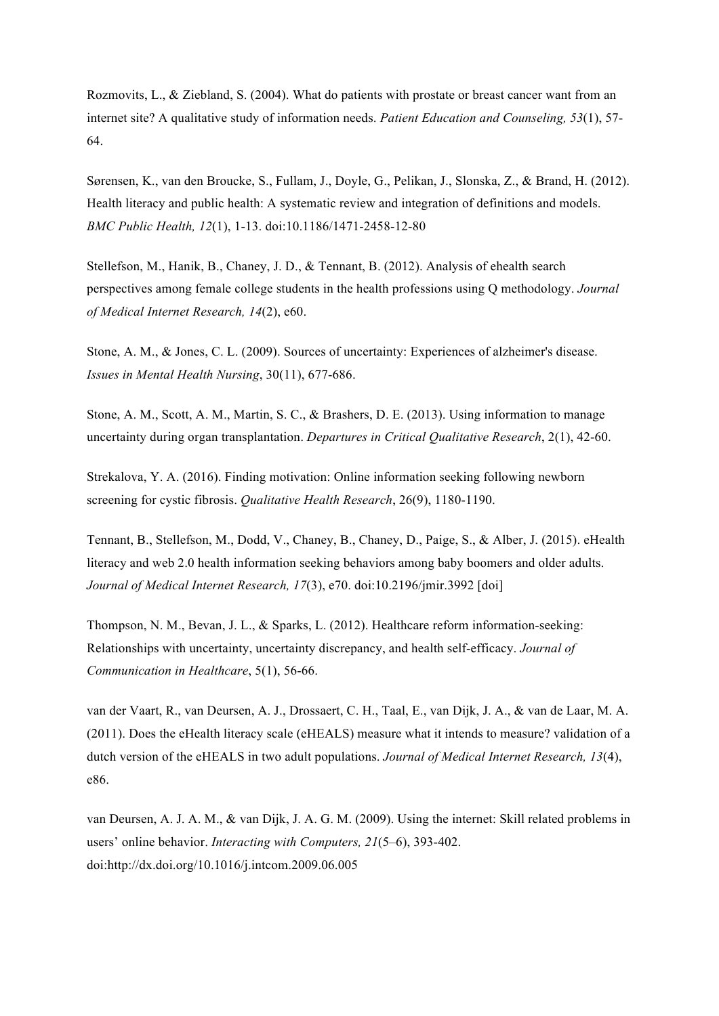Rozmovits, L., & Ziebland, S. (2004). What do patients with prostate or breast cancer want from an internet site? A qualitative study of information needs. *Patient Education and Counseling, 53*(1), 57- 64.

Sørensen, K., van den Broucke, S., Fullam, J., Doyle, G., Pelikan, J., Slonska, Z., & Brand, H. (2012). Health literacy and public health: A systematic review and integration of definitions and models. *BMC Public Health, 12*(1), 1-13. doi:10.1186/1471-2458-12-80

Stellefson, M., Hanik, B., Chaney, J. D., & Tennant, B. (2012). Analysis of ehealth search perspectives among female college students in the health professions using Q methodology. *Journal of Medical Internet Research, 14*(2), e60.

Stone, A. M., & Jones, C. L. (2009). Sources of uncertainty: Experiences of alzheimer's disease. *Issues in Mental Health Nursing*, 30(11), 677-686.

Stone, A. M., Scott, A. M., Martin, S. C., & Brashers, D. E. (2013). Using information to manage uncertainty during organ transplantation. *Departures in Critical Qualitative Research*, 2(1), 42-60.

Strekalova, Y. A. (2016). Finding motivation: Online information seeking following newborn screening for cystic fibrosis. *Qualitative Health Research*, 26(9), 1180-1190.

Tennant, B., Stellefson, M., Dodd, V., Chaney, B., Chaney, D., Paige, S., & Alber, J. (2015). eHealth literacy and web 2.0 health information seeking behaviors among baby boomers and older adults. *Journal of Medical Internet Research, 17*(3), e70. doi:10.2196/jmir.3992 [doi]

Thompson, N. M., Bevan, J. L., & Sparks, L. (2012). Healthcare reform information-seeking: Relationships with uncertainty, uncertainty discrepancy, and health self-efficacy. *Journal of Communication in Healthcare*, 5(1), 56-66.

van der Vaart, R., van Deursen, A. J., Drossaert, C. H., Taal, E., van Dijk, J. A., & van de Laar, M. A. (2011). Does the eHealth literacy scale (eHEALS) measure what it intends to measure? validation of a dutch version of the eHEALS in two adult populations. *Journal of Medical Internet Research, 13*(4), e86.

van Deursen, A. J. A. M., & van Dijk, J. A. G. M. (2009). Using the internet: Skill related problems in users' online behavior. *Interacting with Computers, 21*(5–6), 393-402. doi:http://dx.doi.org/10.1016/j.intcom.2009.06.005